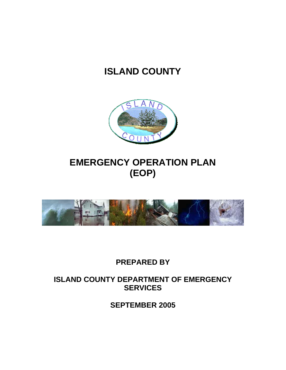# **ISLAND COUNTY**



# **EMERGENCY OPERATION PLAN (EOP)**



# **PREPARED BY**

# **ISLAND COUNTY DEPARTMENT OF EMERGENCY SERVICES**

**SEPTEMBER 2005**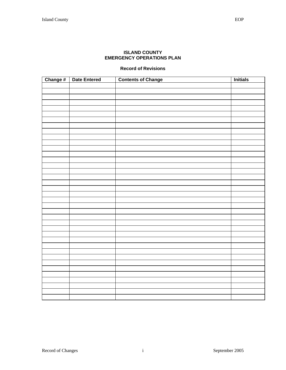# **ISLAND COUNTY EMERGENCY OPERATIONS PLAN**

# **Record of Revisions**

| Change # Date Entered | <b>Contents of Change</b> | <b>Initials</b> |
|-----------------------|---------------------------|-----------------|
|                       |                           |                 |
|                       |                           |                 |
|                       |                           |                 |
|                       |                           |                 |
|                       |                           |                 |
|                       |                           |                 |
|                       |                           |                 |
|                       |                           |                 |
|                       |                           |                 |
|                       |                           |                 |
|                       |                           |                 |
|                       |                           |                 |
|                       |                           |                 |
|                       |                           |                 |
|                       |                           |                 |
|                       |                           |                 |
|                       |                           |                 |
|                       |                           |                 |
|                       |                           |                 |
|                       |                           |                 |
|                       |                           |                 |
|                       |                           |                 |
|                       |                           |                 |
|                       |                           |                 |
|                       |                           |                 |
|                       |                           |                 |
|                       |                           |                 |
|                       |                           |                 |
|                       |                           |                 |
|                       |                           |                 |
|                       |                           |                 |
|                       |                           |                 |
|                       |                           |                 |
|                       |                           |                 |
|                       |                           |                 |
|                       |                           |                 |
|                       |                           |                 |
|                       |                           |                 |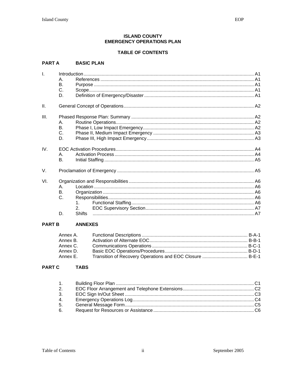#### **ISLAND COUNTY EMERGENCY OPERATIONS PLAN**

### **TABLE OF CONTENTS**

# PART A BASIC PLAN

| Ī.   |                |               |  |
|------|----------------|---------------|--|
|      | Α.             |               |  |
|      | В.             |               |  |
|      | C.             |               |  |
|      | D.             |               |  |
| Ш.   |                |               |  |
| III. |                |               |  |
|      | Α.             |               |  |
|      | B <sub>1</sub> |               |  |
|      | C.             |               |  |
|      | D.             |               |  |
| IV.  |                |               |  |
|      | Α.             |               |  |
|      | В.             |               |  |
| V.   |                |               |  |
| VI.  |                |               |  |
|      | Α.             |               |  |
|      | В.             |               |  |
|      | C.             |               |  |
|      |                | $\mathbf{1}$  |  |
|      |                |               |  |
|      | D.             | <b>Shifts</b> |  |
|      |                |               |  |

#### **PART B ANNEXES**

| Annex A. |             |  |
|----------|-------------|--|
| Annex B. |             |  |
| Annex C. | B-C-1 B-C-1 |  |
| Annex D. |             |  |
| Annex E. |             |  |

#### **PART C TABS**

| 1. |  |
|----|--|
| 2. |  |
| 3. |  |
| 4. |  |
| 5. |  |
| 6. |  |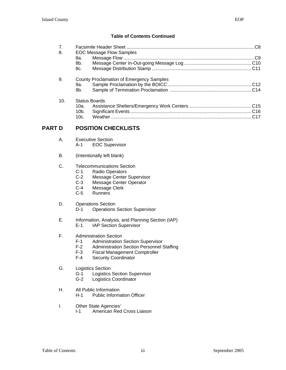# **Table of Contents Continued**

| 7.                                                    |                                                 |  |
|-------------------------------------------------------|-------------------------------------------------|--|
| 8.<br>8а.                                             | <b>EOC Message Flow Samples</b>                 |  |
| 8b.                                                   |                                                 |  |
| 8c.                                                   |                                                 |  |
| 9.<br>9а.                                             | <b>County Proclamation of Emergency Samples</b> |  |
| 9b.                                                   |                                                 |  |
| 10.<br><b>Status Boards</b><br>10a.<br>$10b$ .<br>10c |                                                 |  |
|                                                       |                                                 |  |

# **PART D POSITION CHECKLISTS**

- A. Executive Section A-1 EOC Supervisor
- B. (Intentionally left blank)
- C. Telecommunications Section
	- C-1 Radio Operators<br>C-2 Message Center
	- C-2 Message Center Supervisor<br>C-3 Message Center Operator
	- Message Center Operator
	- C-4 Message Clerk<br>C-5 Runners
	- Runners
- D. Operations Section
	- D-1 Operations Section Supervisor
- E. Information, Analysis, and Planning Section (IAP)
	- E-1 IAP Section Supervisor
- F. Administration Section<br>F-1 Administration
	- F-1 Administration Section Supervisor<br>F-2 Administration Section Personnel S
	- Administration Section Personnel Staffing
	- F-3 Fiscal Management Comptroller<br>F-4 Security Coordinator
	- Security Coordinator
- G. Logistics Section
	- G-1 Logistics Section Supervisor
	- G-2 Logistics Coordinator
- H. All Public Information
	- H-1 Public Information Officer
- I. Other State Agencies'<br>I-1 American Red
	- American Red Cross Liaison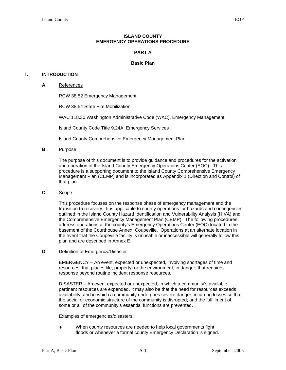#### **ISLAND COUNTY EMERGENCY OPERATIONS PROCEDURE**

#### **PART A**

#### **Basic Plan**

#### **I. INTRODUCTION**

#### **A** References

RCW 38.52 Emergency Management

RCW 38.54 State Fire Mobilization

WAC 118.30 Washington Administrative Code (WAC), Emergency Management

Island County Code Title 9.24A, Emergency Services

Island County Comprehensive Emergency Management Plan

#### **B** Purpose

The purpose of this document is to provide guidance and procedures for the activation and operation of the Island County Emergency Operations Center (EOC). This procedure is a supporting document to the Island County Comprehensive Emergency Management Plan (CEMP) and is incorporated as Appendix 1 (Direction and Control) of that plan.

#### **C** Scope

This procedure focuses on the response phase of emergency management and the transition to recovery. It is applicable to county operations for hazards and contingencies outlined in the Island County Hazard Identification and Vulnerability Analysis (HIVA) and the Comprehensive Emergency Management Plan (CEMP). The following procedures address operations at the county's Emergency Operations Center (EOC) located in the basement of the Courthouse Annex, Coupeville. Operations at an alternate location in the event that the Coupeville facility is unusable or inaccessible will generally follow this plan and are described in Annex E.

#### **D** Definition of Emergency/Disaster

EMERGENCY – An event, expected or unexpected, involving shortages of time and resources; that places life, property, or the environment, in danger; that requires response beyond routine incident response resources.

DISASTER – An event expected or unexpected, in which a community's available, pertinent resources are expended. It may also be that the need for resources exceeds availability; and in which a community undergoes severe danger; incurring losses so that the social or economic structure of the community is disrupted; and the fulfillment of some or all of the community's essential functions are prevented.

Examples of emergencies/disasters:

When county resources are needed to help local governments fight floods or whenever a formal county Emergency Declaration is signed.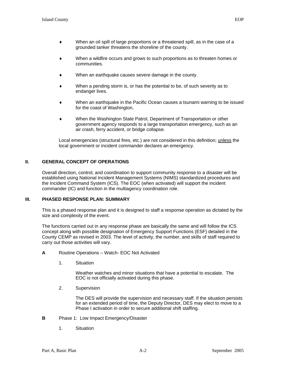- When an oil spill of large proportions or a threatened spill, as in the case of a grounded tanker threatens the shoreline of the county.
- When a wildfire occurs and grows to such proportions as to threaten homes or communities.
- When an earthquake causes severe damage in the county.
- When a pending storm is, or has the potential to be, of such severity as to endanger lives.
- When an earthquake in the Pacific Ocean causes a tsunami warning to be issued for the coast of Washington.
- When the Washington State Patrol, Department of Transportation or other government agency responds to a large transportation emergency, such as an air crash, ferry accident, or bridge collapse.

Local emergencies (structural fires, etc.) are not considered in this definition; unless the local government or incident commander declares an emergency.

#### **II. GENERAL CONCEPT OF OPERATIONS**

Overall direction, control, and coordination to support community response to a disaster will be established using National Incident Management Systems (NIMS) standardized procedures and the Incident Command System (ICS). The EOC (when activated) will support the incident commander (IC) and function in the multiagency coordination role.

#### **III. PHASED RESPONSE PLAN: SUMMARY**

This is a phased response plan and it is designed to staff a response operation as dictated by the size and complexity of the event.

The functions carried out in any response phase are basically the same and will follow the ICS concept along with possible designation of Emergency Support Functions (ESF) detailed in the County CEMP as revised in 2003. The level of activity, the number, and skills of staff required to carry out those activities will vary.

- **A** Routine Operations Watch- EOC Not Activated
	- 1. Situation

Weather watches and minor situations that have a potential to escalate. The EOC is not officially activated during this phase.

2. Supervision

The DES will provide the supervision and necessary staff. If the situation persists for an extended period of time, the Deputy Director, DES may elect to move to a Phase I activation in order to secure additional shift staffing.

- **B** Phase 1: Low Impact Emergency/Disaster
	- 1. Situation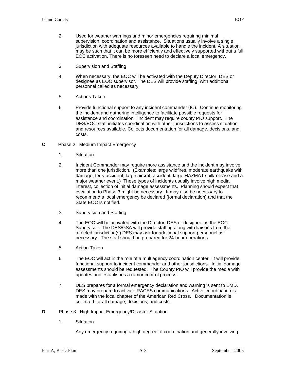- 2. Used for weather warnings and minor emergencies requiring minimal supervision, coordination and assistance. Situations usually involve a single jurisdiction with adequate resources available to handle the incident. A situation may be such that it can be more efficiently and effectively supported without a full EOC activation. There is no foreseen need to declare a local emergency.
- 3. Supervision and Staffing
- 4. When necessary, the EOC will be activated with the Deputy Director, DES or designee as EOC supervisor. The DES will provide staffing, with additional personnel called as necessary.
- 5. Actions Taken
- 6. Provide functional support to any incident commander (IC). Continue monitoring the incident and gathering intelligence to facilitate possible requests for assistance and coordination. Incident may require county PIO support. The DES/EOC staff initiates coordination with other jurisdictions to assess situation and resources available. Collects documentation for all damage, decisions, and costs.
- **C** Phase 2: Medium Impact Emergency
	- 1. Situation
	- 2. Incident Commander may require more assistance and the incident may involve more than one jurisdiction. (Examples: large wildfires, moderate earthquake with damage, ferry accident, large aircraft accident, large HAZMAT spill/release and a major weather event.) These types of incidents usually involve high media interest, collection of initial damage assessments. Planning should expect that escalation to Phase 3 might be necessary. It may also be necessary to recommend a local emergency be declared (formal declaration) and that the State EOC is notified.
	- 3. Supervision and Staffing
	- 4. The EOC will be activated with the Director, DES or designee as the EOC Supervisor. The DES/GSA will provide staffing along with liaisons from the affected jurisdiction(s) DES may ask for additional support personnel as necessary. The staff should be prepared for 24-hour operations.
	- 5. Action Taken
	- 6. The EOC will act in the role of a multiagency coordination center. It will provide functional support to incident commander and other jurisdictions. Initial damage assessments should be requested. The County PIO will provide the media with updates and establishes a rumor control process.
	- 7. DES prepares for a formal emergency declaration and warning is sent to EMD. DES may prepare to activate RACES communications. Active coordination is made with the local chapter of the American Red Cross. Documentation is collected for all damage, decisions, and costs.
- **D** Phase 3: High Impact Emergency/Disaster Situation
	- 1. Situation

Any emergency requiring a high degree of coordination and generally involving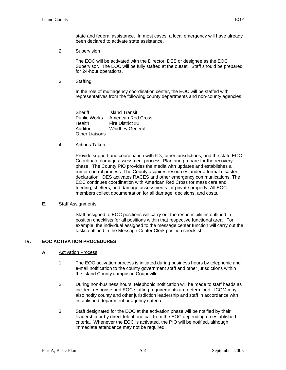state and federal assistance. In most cases, a local emergency will have already been declared to activate state assistance.

2. Supervision

The EOC will be activated with the Director, DES or designee as the EOC Supervisor. The EOC will be fully staffed at the outset. Staff should be prepared for 24-hour operations.

3. Staffing

In the role of multiagency coordination center, the EOC will be staffed with representatives from the following county departments and non-county agencies:

Sheriff Island Transit Public Works American Red Cross Health Fire District #2 Auditor Whidbey General Other Liaisons

4. Actions Taken

Provide support and coordination with ICs, other jurisdictions, and the state EOC. Coordinate damage assessment process. Plan and prepare for the recovery phase. The County PIO provides the media with updates and establishes a rumor control process. The County acquires resources under a formal disaster declaration. DES activates RACES and other emergency communications. The EOC continues coordination with American Red Cross for mass care and feeding, shelters, and damage assessments for private property. All EOC members collect documentation for all damage, decisions, and costs.

#### **E.** Staff Assignments

Staff assigned to EOC positions will carry out the responsibilities outlined in position checklists for all positions within that respective functional area. For example, the individual assigned to the message center function will carry out the tasks outlined in the Message Center Clerk position checklist.

#### **IV. EOC ACTIVATION PROCEDURES**

- **A.** Activation Process
	- 1. The EOC activation process is initiated during business hours by telephonic and e-mail notification to the county government staff and other jurisdictions within the Island County campus in Coupeville.
	- 2. During non-business hours, telephonic notification will be made to staff heads as incident response and EOC staffing requirements are determined. ICOM may also notify county and other jurisdiction leadership and staff in accordance with established department or agency criteria.
	- 3. Staff designated for the EOC at the activation phase will be notified by their leadership or by direct telephone call from the EOC depending on established criteria. Whenever the EOC is activated, the PIO will be notified, although immediate attendance may not be required.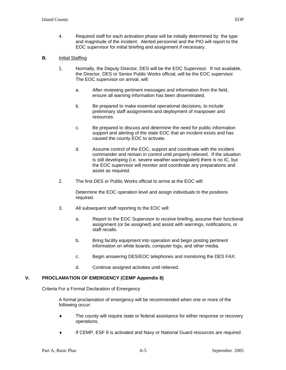4. Required staff for each activation phase will be initially determined by the type and magnitude of the incident. Alerted personnel and the PIO will report to the EOC supervisor for initial briefing and assignment if necessary.

#### **B.** Initial Staffing

- 1. Normally, the Deputy Director, DES will be the EOC Supervisor. If not available, the Director, DES or Senior Public Works official, will be the EOC supervisor. The EOC supervisor on arrival, will:
	- a. After reviewing pertinent messages and information from the field, ensure all warning information has been disseminated.
	- b. Be prepared to make essential operational decisions, to include preliminary staff assignments and deployment of manpower and resources.
	- c. Be prepared to discuss and determine the need for public information support and alerting of the state EOC that an incident exists and has caused the county EOC to activate.
	- d. Assume control of the EOC, support and coordinate with the incident commander and remain in control until properly relieved. If the situation is still developing (i.e. severe weather warning/alert) there is no IC, but the EOC supervisor will monitor and coordinate any preparations and assist as required.
- 2. The first DES or Public Works official to arrive at the EOC will:

Determine the EOC operation level and assign individuals to the positions required.

- 3. All subsequent staff reporting to the EOC will:
	- a. Report to the EOC Supervisor to receive briefing, assume their functional assignment (or be assigned) and assist with warnings, notifications, or staff recalls.
	- b. Bring facility equipment into operation and begin posting pertinent information on white boards, computer logs, and other media.
	- c. Begin answering DES/EOC telephones and monitoring the DES FAX.
	- d. Continue assigned activities until relieved.

#### **V. PROCLAMATION OF EMERGENCY (CEMP Appendix 8)**

Criteria For a Formal Declaration of Emergency

A formal proclamation of emergency will be recommended when one or more of the following occur:

- The county will require state or federal assistance for either response or recovery operations.
- If CEMP, ESF 8 is activated and Navy or National Guard resources are required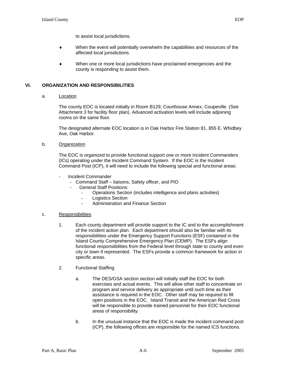- ♦ When the event will potentially overwhelm the capabilities and resources of the affected local jurisdictions.
- ♦ When one or more local jurisdictions have proclaimed emergencies and the county is responding to assist them.

### **VI. ORGANIZATION AND RESPONSIBILITIES**

a. Location

The county EOC is located initially in Room B129, Courthouse Annex, Coupeville. (See Attachment 3 for facility floor plan). Advanced activation levels will include adjoining rooms on the same floor.

The designated alternate EOC location is in Oak Harbor Fire Station 81, 855 E. Whidbey Ave, Oak Harbor.

b. Organization

The EOC is organized to provide functional support one or more Incident Commanders (ICs) operating under the Incident Command System. If the EOC is the Incident Command Post (ICP), it will need to include the following special and functional areas:

- Incident Commander
	- Command Staff liaisons, Safety officer, and PIO
	- General Staff Positions:
		- Operations Section (includes intelligence and plans activities)
		- Logistics Section
		- Administration and Finance Section
- c. Responsibilities
	- 1. Each county department will provide support to the IC and to the accomplishment of the incident action plan. Each department should also be familiar with its responsibilities under the Emergency Support Functions (ESF) contained in the Island County Comprehensive Emergency Plan (CEMP). The ESFs align functional responsibilities from the Federal level through state to county and even city or town if represented. The ESFs provide a common framework for action in specific areas.
	- 2. Functional Staffing
		- a. The DES/GSA section section will initially staff the EOC for both exercises and actual events. This will allow other staff to concentrate on program and service delivery as appropriate until such time as their assistance is required in the EOC. Other staff may be required to fill open positions in the EOC. Island Transit and the American Red Cross will be responsible to provide trained personnel for their EOC functional areas of responsibility.
		- b. In the unusual instance that the EOC is made the incident command post (ICP), the following offices are responsible for the named ICS functions.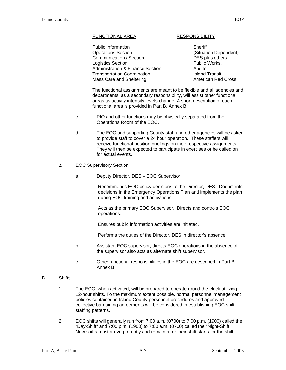#### FUNCTIONAL AREA RESPONSIBILITY

Public Information **Sheriff**  Operations Section (Situation Dependent) Communications Section **DES** plus others **Logistics Section Community Contract Public Works.** Administration & Finance Section **Auditor** Transportation Coordination Island Transit Mass Care and Sheltering

The functional assignments are meant to be flexible and all agencies and departments, as a secondary responsibility, will assist other functional areas as activity intensity levels change. A short description of each functional area is provided in Part B, Annex B.

- c. PIO and other functions may be physically separated from the Operations Room of the EOC.
- d. The EOC and supporting County staff and other agencies will be asked to provide staff to cover a 24 hour operation. These staffers will receive functional position briefings on their respective assignments. They will then be expected to participate in exercises or be called on for actual events.
- 2. EOC Supervisory Section
	- a. Deputy Director, DES EOC Supervisor

Recommends EOC policy decisions to the Director, DES. Documents decisions in the Emergency Operations Plan and implements the plan during EOC training and activations.

Acts as the primary EOC Supervisor. Directs and controls EOC operations.

Ensures public information activities are initiated.

Performs the duties of the Director, DES in director's absence.

- b. Assistant EOC supervisor, directs EOC operations in the absence of the supervisor also acts as alternate shift supervisor.
- c. Other functional responsibilities in the EOC are described in Part B, Annex B.
- D. Shifts
	- 1. The EOC, when activated, will be prepared to operate round-the-clock utilizing 12-hour shifts. To the maximum extent possible, normal personnel management policies contained in Island County personnel procedures and approved collective bargaining agreements will be considered in establishing EOC shift staffing patterns.
	- 2. EOC shifts will generally run from 7:00 a.m. (0700) to 7:00 p.m. (1900) called the "Day-Shift" and 7:00 p.m. (1900) to 7:00 a.m. (0700) called the "Night-Shift." New shifts must arrive promptly and remain after their shift starts for the shift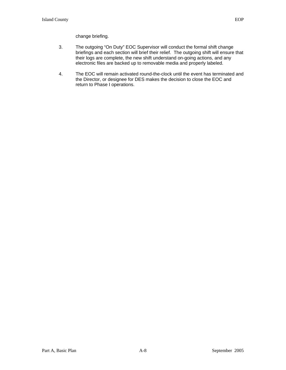- 3. The outgoing "On Duty" EOC Supervisor will conduct the formal shift change briefings and each section will brief their relief. The outgoing shift will ensure that their logs are complete, the new shift understand on-going actions, and any electronic files are backed up to removable media and properly labeled.
- 4. The EOC will remain activated round-the-clock until the event has terminated and the Director, or designee for DES makes the decision to close the EOC and return to Phase I operations.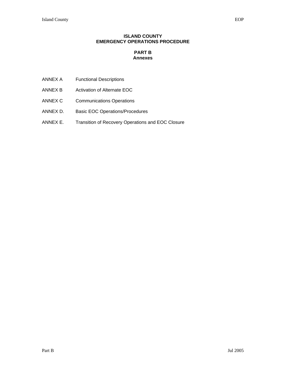#### **ISLAND COUNTY EMERGENCY OPERATIONS PROCEDURE**

# **PART B Annexes**

- ANNEX A Functional Descriptions
- ANNEX B Activation of Alternate EOC
- ANNEX C Communications Operations
- ANNEX D. Basic EOC Operations/Procedures
- ANNEX E. Transition of Recovery Operations and EOC Closure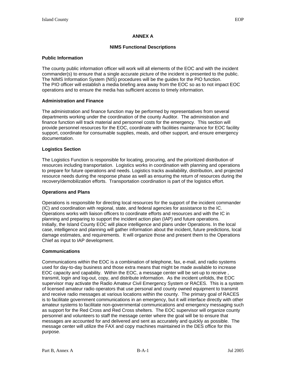#### **ANNEX A**

#### **NIMS Functional Descriptions**

#### **Public Information**

The county public information officer will work will all elements of the EOC and with the incident commander(s) to ensure that a single accurate picture of the incident is presented to the public. The NIMS Information System (NIS) procedures will be the guides for the PIO function. The PIO officer will establish a media briefing area away from the EOC so as to not impact EOC operations and to ensure the media has sufficient access to timely information.

#### **Administration and Finance**

The administration and finance function may be performed by representatives from several departments working under the coordination of the county Auditor. The administration and finance function will track material and personnel costs for the emergency. This section will provide personnel resources for the EOC, coordinate with facilities maintenance for EOC facility support, coordinate for consumable supplies, meals, and other support, and ensure emergency documentation.

#### **Logistics Section**

The Logistics Function is responsible for locating, procuring, and the prioritized distribution of resources including transportation. Logistics works in coordination with planning and operations to prepare for future operations and needs. Logistics tracks availability, distribution, and projected resource needs during the response phase as well as ensuring the return of resources during the recovery/demobilization efforts. Transportation coordination is part of the logistics effort.

#### **Operations and Plans**

Operations is responsible for directing local resources for the support of the incident commander (IC) and coordination with regional, state, and federal agencies for assistance to the IC. Operations works with liaison officers to coordinate efforts and resources and with the IC in planning and preparing to support the incident action plan (IAP) and future operations. Initially, the Island County EOC will place intelligence and plans under Operations. In the local case, intelligence and planning will gather information about the incident, future predictions, local damage estimates, and requirements. It will organize those and present them to the Operations Chief as input to IAP development.

#### **Communications**

Communications within the EOC is a combination of telephone, fax, e-mail, and radio systems used for day-to-day business and those extra means that might be made available to increase EOC capacity and capability. Within the EOC, a message center will be set-up to receive , transmit, login and log-out, copy, and distribute information. As the incident unfolds, the EOC supervisor may activate the Radio Amateur Civil Emergency System or RACES. This is a system of licensed amateur radio operators that use personal and county owned equipment to transmit and receive radio messages at various locations within the county. The primary goal of RACES is to facilitate government communications in an emergency, but it will interface directly with other amateur systems to facilitate non-governmental communications and emergency messaging such as support for the Red Cross and Red Cross shelters. The EOC supervisor will organize county personnel and volunteers to staff the message center where the goal will be to ensure that messages are accounted for and delivered and sent as accurately and quickly as possible. The message center will utilize the FAX and copy machines maintained in the DES office for this purpose.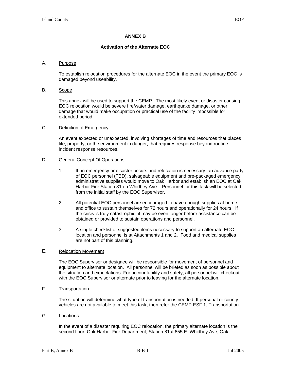#### **Activation of the Alternate EOC**

### A. Purpose

To establish relocation procedures for the alternate EOC in the event the primary EOC is damaged beyond useability.

#### B. Scope

This annex will be used to support the CEMP. The most likely event or disaster causing EOC relocation would be severe fire/water damage, earthquake damage, or other damage that would make occupation or practical use of the facility impossible for extended period.

#### C. Definition of Emergency

An event expected or unexpected, involving shortages of time and resources that places life, property, or the environment in danger; that requires response beyond routine incident response resources.

#### D. General Concept Of Operations

- 1. If an emergency or disaster occurs and relocation is necessary, an advance party of EOC personnel (TBD), salvageable equipment and pre-packaged emergency administrative supplies would move to Oak Harbor and establish an EOC at Oak Harbor Fire Station 81 on Whidbey Ave. Personnel for this task will be selected from the initial staff by the EOC Supervisor.
- 2. All potential EOC personnel are encouraged to have enough supplies at home and office to sustain themselves for 72 hours and operationally for 24 hours. If the crisis is truly catastrophic, it may be even longer before assistance can be obtained or provided to sustain operations and personnel.
- 3. A single checklist of suggested items necessary to support an alternate EOC location and personnel is at Attachments 1 and 2. Food and medical supplies are not part of this planning.

#### E. Relocation Movement

The EOC Supervisor or designee will be responsible for movement of personnel and equipment to alternate location. All personnel will be briefed as soon as possible about the situation and expectations. For accountability and safety, all personnel will checkout with the EOC Supervisor or alternate prior to leaving for the alternate location.

#### F. Transportation

The situation will determine what type of transportation is needed. If personal or county vehicles are not available to meet this task, then refer the CEMP ESF 1, Transportation.

#### G. Locations

In the event of a disaster requiring EOC relocation, the primary alternate location is the second floor, Oak Harbor Fire Department, Station 81at 855 E. Whidbey Ave, Oak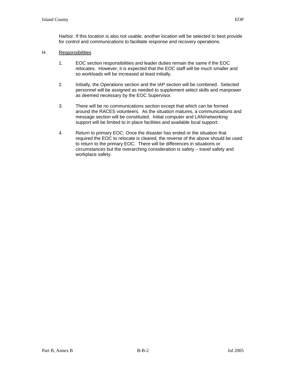Harbor. If this location is also not usable, another location will be selected to best provide for control and communications to facilitate response and recovery operations.

#### H. Responsibilities

- 1. EOC section responsibilities and leader duties remain the same if the EOC relocates. However, it is expected that the EOC staff will be much smaller and so workloads will be increased at least initially.
- 2. Initially, the Operations section and the IAP section will be combined. Selected personnel will be assigned as needed to supplement select skills and manpower as deemed necessary by the EOC Supervisor.
- 3. There will be no communications section except that which can be formed around the RACES volunteers. As the situation matures, a communications and message section will be constituted. Initial computer and LAN/networking support will be limited to in place facilities and available local support.
- 4. Return to primary EOC: Once the disaster has ended or the situation that required the EOC to relocate is cleared, the reverse of the above should be used to return to the primary EOC. There will be differences in situations or circumstances but the overarching consideration is safety – travel safety and workplace safety.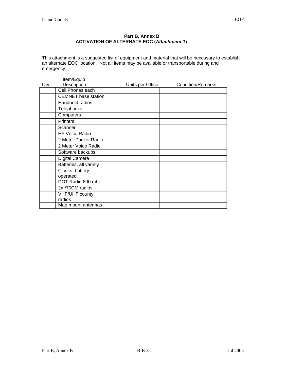### **Part B, Annex B ACTIVATION OF ALTERNATE EOC (***Attachment 1***)**

This attachment is a suggested list of equipment and material that will be necessary to establish an alternate EOC location. Not all items may be available or transportable during and emergency.

| Qty | Item/Equip<br>Description    | Units per Office | <b>Condition/Remarks</b> |
|-----|------------------------------|------------------|--------------------------|
|     | Cell Phones each             |                  |                          |
|     | <b>CEMNET</b> base station   |                  |                          |
|     | Handheld radios              |                  |                          |
|     | Telephones                   |                  |                          |
|     | Computers                    |                  |                          |
|     | <b>Printers</b>              |                  |                          |
|     | Scanner                      |                  |                          |
|     | <b>HF Voice Radio</b>        |                  |                          |
|     | 2 Meter Packet Radio         |                  |                          |
|     | 2 Meter Voice Radio          |                  |                          |
|     | Software backups             |                  |                          |
|     | Digital Camera               |                  |                          |
|     | Batteries, all variety       |                  |                          |
|     | Clocks, battery              |                  |                          |
|     | operated                     |                  |                          |
|     | DOT Radio 800 mhz            |                  |                          |
|     | 2m/70CM radios               |                  |                          |
|     | VHF/UHF county               |                  |                          |
|     | radios<br>Mag mount antennas |                  |                          |
|     |                              |                  |                          |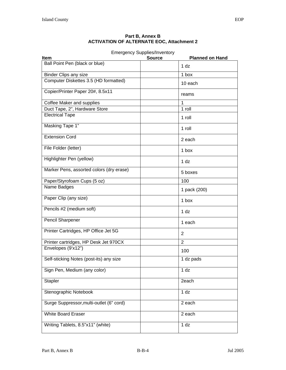#### **Part B, Annex B ACTIVATION OF ALTERNATE EOC, Attachment 2**

|                                          | <b>Emergency Supplies/Inventory</b>     |
|------------------------------------------|-----------------------------------------|
| Item                                     | <b>Planned on Hand</b><br><b>Source</b> |
| Ball Point Pen (black or blue)           | 1 <sub>dz</sub>                         |
| <b>Binder Clips any size</b>             | 1 box                                   |
| Computer Diskettes 3.5 (HD formatted)    | 10 each                                 |
| Copier/Printer Paper 20#, 8.5x11         | reams                                   |
| Coffee Maker and supplies                | 1                                       |
| Duct Tape, 2", Hardware Store            | 1 roll                                  |
| <b>Electrical Tape</b>                   | $1$ roll                                |
| <b>Masking Tape 1"</b>                   | 1 roll                                  |
| <b>Extension Cord</b>                    | 2 each                                  |
| File Folder (letter)                     | 1 box                                   |
| Highlighter Pen (yellow)                 | 1 <sub>dz</sub>                         |
| Marker Pens, assorted colors (dry erase) | 5 boxes                                 |
| Paper/Styrofoam Cups (5 oz)              | 100                                     |
| Name Badges                              | 1 pack (200)                            |
| Paper Clip (any size)                    | 1 box                                   |
| Pencils #2 (medium soft)                 | 1 <sub>dz</sub>                         |
| Pencil Sharpener                         | 1 each                                  |
| Printer Cartridges, HP Office Jet 5G     | 2                                       |
| Printer cartridges, HP Desk Jet 970CX    | $\overline{2}$                          |
| Envelopes (9'x12")                       | 100                                     |
| Self-sticking Notes (post-its) any size  | 1 dz pads                               |
| Sign Pen, Medium (any color)             | 1 <sub>dz</sub>                         |
| <b>Stapler</b>                           | 2each                                   |
| Stenographic Notebook                    | 1 <sub>dz</sub>                         |
| Surge Suppressor, multi-outlet (6" cord) | 2 each                                  |
| <b>White Board Eraser</b>                | 2 each                                  |
| Writing Tablets, 8.5"x11" (white)        | 1 <sub>dz</sub>                         |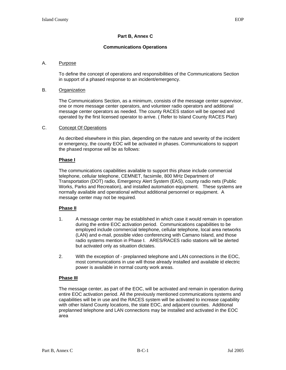# **Part B, Annex C**

#### **Communications Operations**

#### A. Purpose

To define the concept of operations and responsibilities of the Communications Section in support of a phased response to an incident/emergency.

#### B. Organization

The Communications Section, as a minimum, consists of the message center supervisor, one or more message center operators, and volunteer radio operators and additional message center operators as needed. The county RACES station will be opened and operated by the first licensed operator to arrive. ( Refer to Island County RACES Plan)

#### C. Concept Of Operations

As decribed elsewhere in this plan, depending on the nature and severity of the incident or emergency, the county EOC will be activated in phases. Communications to support the phased response will be as follows:

#### **Phase I**

The communications capabilities available to support this phase include commercial telephone, cellular telephone, CEMNET, facsimile, 800 MHz Department of Transportation (DOT) radio, Emergency Alert System (EAS), county radio nets (Public Works, Parks and Recreation), and installed automation equipment. These systems are normally available and operational without additional personnel or equipment. A message center may not be required.

#### **Phase II**

- 1. A message center may be established in which case it would remain in operation during the entire EOC activation period. Communications capabilities to be employed include commercial telephone, cellular telephone, local area networks (LAN) and e-mail, possible video conferencing with Camano Island, and those radio systems mention in Phase I. ARES/RACES radio stations will be alerted but activated only as situation dictates.
- 2. With the exception of preplanned telephone and LAN connections in the EOC, most communications in use will those already installed and available id electric power is available in normal county work areas.

#### **Phase III**

The message center, as part of the EOC, will be activated and remain in operation during entire EOC activation period. All the previously mentioned communications systems and capabilities will be in use and the RACES system will be activated to increase capability with other Island County locations, the state EOC, and adjacent counties. Additional preplanned telephone and LAN connections may be installed and activated in the EOC area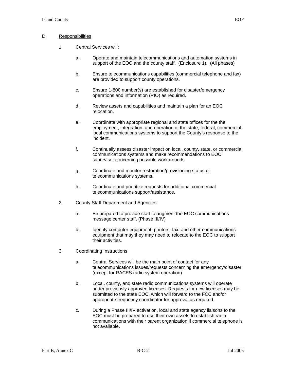#### D. Responsibilities

- 1. Central Services will:
	- a. Operate and maintain telecommunications and automation systems in support of the EOC and the county staff. (Enclosure 1). (All phases)
	- b. Ensure telecommunications capabilities (commercial telephone and fax) are provided to support county operations.
	- c. Ensure 1-800 number(s) are established for disaster/emergency operations and information (PIO) as required.
	- d. Review assets and capabilities and maintain a plan for an EOC relocation.
	- e. Coordinate with appropriate regional and state offices for the the employment, integration, and operation of the state, federal, commercial, local communications systems to support the County's response to the incident.
	- f. Continually assess disaster impact on local, county, state, or commercial communications systems and make recommendations to EOC supervisor concerning possible workarounds.
	- g. Coordinate and monitor restoration/provisioning status of telecommunications systems.
	- h. Coordinate and prioritize requests for additional commercial telecommunications support/assistance.
- 2. County Staff Department and Agencies
	- a. Be prepared to provide staff to augment the EOC communications message center staff. (Phase III/IV)
	- b. Identify computer equipment, printers, fax, and other communications equipment that may they may need to relocate to the EOC to support their activities.
- 3. Coordinating Instructions
	- a. Central Services will be the main point of contact for any telecommunications issues/requests concerning the emergency/disaster. (except for RACES radio system operation)
	- b. Local, county, and state radio communications systems will operate under previously approved licenses. Requests for new licenses may be submitted to the state EOC, which will forward to the FCC and/or appropriate frequency coordinator for approval as required.
	- c. During a Phase III/IV activation, local and state agency liaisons to the EOC must be prepared to use their own assets to establish radio communications with their parent organization if commercial telephone is not available.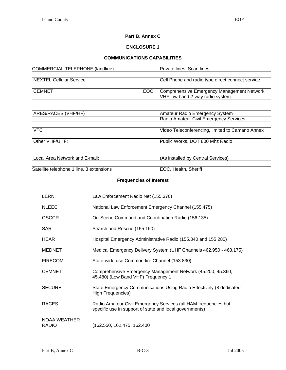# **Part B**, **Annex C**

# **ENCLOSURE 1**

# **COMMUNICATIONS CAPABILITIES**

| COMMERCIAL TELEPHONE (landline)          |            | Private lines, Scan lines.                                                      |
|------------------------------------------|------------|---------------------------------------------------------------------------------|
|                                          |            |                                                                                 |
| <b>NEXTEL Cellular Service</b>           |            | Cell Phone and radio type direct connect service                                |
|                                          |            |                                                                                 |
| <b>CEMNET</b>                            | <b>EOC</b> | Comprehensive Emergency Management Network,<br>VHF low band 2-way radio system. |
|                                          |            |                                                                                 |
|                                          |            |                                                                                 |
| ARES/RACES (VHF/HF)                      |            | Amateur Radio Emergency System                                                  |
|                                          |            | Radio Amateur Civil Emergency Services.                                         |
|                                          |            |                                                                                 |
| <b>VTC</b>                               |            | Video Teleconferencing, limited to Camano Annex                                 |
|                                          |            |                                                                                 |
| Other VHF/UHF:                           |            | Public Works, DOT 800 Mhz Radio                                                 |
|                                          |            |                                                                                 |
| Local Area Network and E-mail:           |            | (As installed by Central Services)                                              |
|                                          |            |                                                                                 |
| Satellite telephone 1 line. 3 extensions |            | EOC, Health, Sheriff                                                            |

# **Frequencies of Interest**

| LERN                                | Law Enforcement Radio Net (155.370)                                                                                        |
|-------------------------------------|----------------------------------------------------------------------------------------------------------------------------|
| <b>NLEEC</b>                        | National Law Enforcement Emergency Channel (155.475)                                                                       |
| <b>OSCCR</b>                        | On-Scene Command and Coordination Radio (156.135)                                                                          |
| <b>SAR</b>                          | Search and Rescue (155.160)                                                                                                |
| <b>HEAR</b>                         | Hospital Emergency Administrative Radio (155.340 and 155.280)                                                              |
| <b>MEDNET</b>                       | Medical Emergency Delivery System (UHF Channels 462.950 - 468.175)                                                         |
| <b>FIRECOM</b>                      | State-wide use Common fire Channel (153.830)                                                                               |
| <b>CEMNET</b>                       | Comprehensive Emergency Management Network (45.200, 45.360,<br>45.480) (Low Band VHF) Frequency 1.                         |
| <b>SECURE</b>                       | State Emergency Communications Using Radio Effectively (8 dedicated<br>High Frequencies)                                   |
| <b>RACES</b>                        | Radio Amateur Civil Emergency Services (all HAM frequencies but<br>specific use in support of state and local governments) |
| <b>NOAA WEATHER</b><br><b>RADIO</b> | (162.550, 162.475, 162.400                                                                                                 |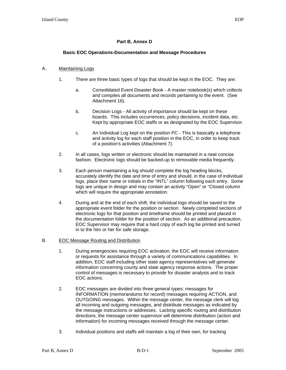# **Part B, Annex D**

# **Basic EOC Operations-Documentation and Message Procedures**

### A. Maintaining Logs

- 1. There are three basic types of logs that should be kept in the EOC. They are:
	- a. Consolidated Event Disaster Book A master notebook(s) which collects and compiles all documents and records pertaining to the event. (See Attachment 16).
	- b. Decision Logs All activity of importance should be kept on these boards. This includes occurrences, policy decisions, incident data, etc. Kept by appropriate EOC staffs or as designated by the EOC Supervisor.
	- c. An Individual Log kept on the position PC This is basically a telephone and activity log for each staff position in the EOC, in order to keep track of a position's activities (Attachment 7).
- 2. In all cases, logs written or electronic should be maintained in a neat concise fashion. Electronic logs should be backed-up to removable media frequently.
- 3. Each person maintaining a log should complete the log heading blocks, accurately identify the date and time of entry and should, in the case of individual logs, place their name or initials in the "INTL" column following each entry. Some logs are unique in design and may contain an activity "Open" or "Closed column which will require the appropriate annotation.
- 4. During and at the end of each shift, the individual logs should be saved to the appropriate event folder for the position or section. Newly completed sections of electronic logs for that position and timeframe should be printed and placed in the documentation folder for the position of section. As an additional precaution, EOC Supervisor may require that a hard copy of each log be printed and turned in to the him or her for safe storage.

#### B. EOC Message Routing and Distribution

- 1. During emergencies requiring EOC activation, the EOC will receive information or requests for assistance through a variety of communications capabilities. In addition, EOC staff including other state agency representatives will generate information concerning county and state agency response actions. The proper control of messages is necessary to provide for disaster analysis and to track EOC actions.
- 2. EOC messages are divided into three general types: messages for INFORMATION (memorandums for record) messages requiring ACTION, and OUTGOING messages. Within the message center, the message clerk will log all incoming and outgoing messages, and distribute messages as indicated by the message instructions or addresses. Lacking specific routing and distribution directions, the message center supervisor will determine distribution (action and information) for incoming messages received through the message center.
- 3. Individual positions and staffs will maintain a log of their own, for tracking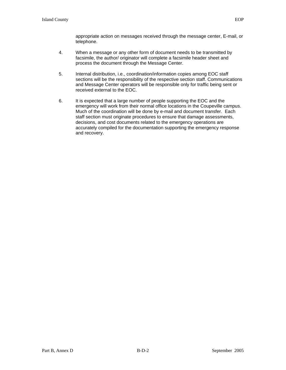appropriate action on messages received through the message center, E-mail, or telephone.

- 4. When a message or any other form of document needs to be transmitted by facsimile, the author/ originator will complete a facsimile header sheet and process the document through the Message Center.
- 5. Internal distribution, i.e., coordination/information copies among EOC staff sections will be the responsibility of the respective section staff. Communications and Message Center operators will be responsible only for traffic being sent or received external to the EOC.
- 6. It is expected that a large number of people supporting the EOC and the emergency will work from their normal office locations in the Coupeville campus. Much of the coordination will be done by e-mail and document transfer. Each staff section must originate procedures to ensure that damage assessments, decisions, and cost documents related to the emergency operations are accurately compiled for the documentation supporting the emergency response and recovery.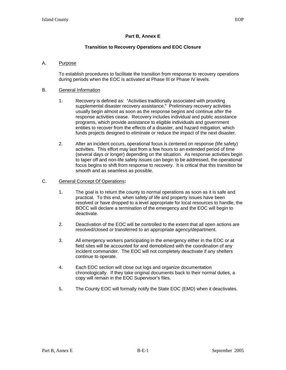### **Transition to Recovery Operations and EOC Closure**

### A. Purpose

To establish procedures to facilitate the transition from response to recovery operations during periods when the EOC is activated at Phase III or Phase IV levels.

#### B. General Information

- 1. Recovery is defined as: "Activities traditionally associated with providing supplemental disaster recovery assistance." Preliminary recovery activities usually begin almost as soon as the response begins and continue after the response activities cease. Recovery includes individual and public assistance programs, which provide assistance to eligible individuals and government entities to recover from the effects of a disaster, and hazard mitigation, which funds projects designed to eliminate or reduce the impact of the next disaster.
- 2. After an incident occurs, operational focus is centered on response (life safety) activities. This effort may last from a few hours to an extended period of time (several days or longer) depending on the situation. As response activities begin to taper off and non-life safety issues can begin to be addressed, the operational focus begins to shift from response to recovery. It is critical that this transition be smooth and as seamless as possible.

### C. General Concept Of Operations**:**

- 1. The goal is to return the county to normal operations as soon as it is safe and practical. To this end, when safety of life and property issues have been resolved or have dropped to a level appropriate for local resources to handle, the BOCC will declare a termination of the emergency and the EOC will begin to deactivate.
- 2. Deactivation of the EOC will be controlled to the extent that all open actions are resolved/closed or transferred to an appropriate agency/department.
- 3. All emergency workers participating in the emergency either in the EOC or at field sites will be accounted for and demobilized with the coordination of any incident commander. The EOC will not completely deactivate if any shelters continue to operate.
- 4. Each EOC section will close out logs and organize documentation chronologically. If they take original documents back to their normal duties, a copy will remain in the EOC Supervisor's files.
- 5. The County EOC will formally notify the State EOC (EMD) when it deactivates.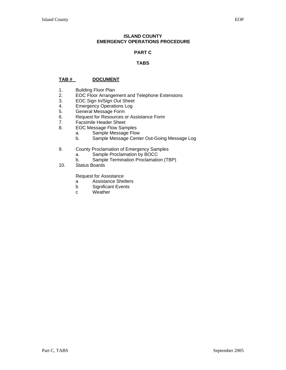#### **ISLAND COUNTY EMERGENCY OPERATIONS PROCEDURE**

### **PART C**

### **TABS**

### **TAB # DOCUMENT**

- 1. Building Floor Plan<br>2. EOC Floor Arrange
- 2. EOC Floor Arrangement and Telephone Extensions<br>3. EOC Sign In/Sign Out Sheet
- EOC Sign In/Sign Out Sheet
- 4. Emergency Operations Log<br>5. General Message Form
- 5. General Message Form<br>6. Request for Resources of
- Request for Resources or Assistance Form
- 7. Facsimile Header Sheet
- 8. EOC Message Flow Samples
	- a. Sample Message Flow
	- b. Sample Message Center Out-Going Message Log
- 9. County Proclamation of Emergency Samples
	- a. Sample Proclamation by BOCC
- b. Sample Termination Proclamation (TBP)<br>10. Status Boards
- Status Boards

Request for Assistance

- a Assistance Shelters
- b Significant Events
- c Weather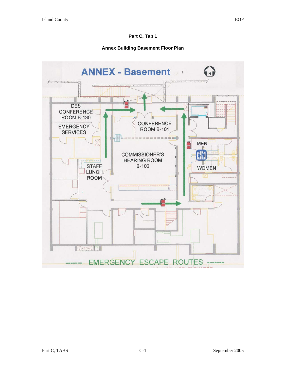### **Annex Building Basement Floor Plan**

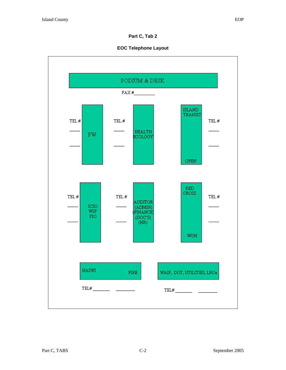# **EOC Telephone Layout**

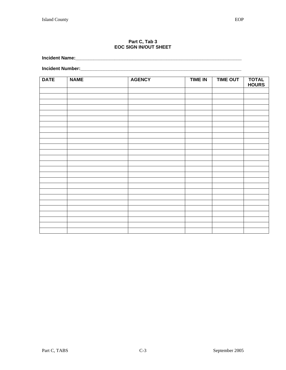#### **Part C, Tab 3 EOC SIGN IN/OUT SHEET**

**Incident Name:\_\_\_\_\_\_\_\_\_\_\_\_\_\_\_\_\_\_\_\_\_\_\_\_\_\_\_\_\_\_\_\_\_\_\_\_\_\_\_\_\_\_\_\_\_\_\_\_\_\_\_\_\_\_\_\_\_\_\_\_\_\_\_\_** 

**Incident Number:\_\_\_\_\_\_\_\_\_\_\_\_\_\_\_\_\_\_\_\_\_\_\_\_\_\_\_\_\_\_\_\_\_\_\_\_\_\_\_\_\_\_\_\_\_\_\_\_\_\_\_\_\_\_\_\_\_\_\_\_\_\_** 

| <b>DATE</b> | <b>NAME</b> | <b>AGENCY</b> | <b>TIME IN</b> | <b>TIME OUT</b> | <b>TOTAL</b><br><b>HOURS</b> |
|-------------|-------------|---------------|----------------|-----------------|------------------------------|
|             |             |               |                |                 |                              |
|             |             |               |                |                 |                              |
|             |             |               |                |                 |                              |
|             |             |               |                |                 |                              |
|             |             |               |                |                 |                              |
|             |             |               |                |                 |                              |
|             |             |               |                |                 |                              |
|             |             |               |                |                 |                              |
|             |             |               |                |                 |                              |
|             |             |               |                |                 |                              |
|             |             |               |                |                 |                              |
|             |             |               |                |                 |                              |
|             |             |               |                |                 |                              |
|             |             |               |                |                 |                              |
|             |             |               |                |                 |                              |
|             |             |               |                |                 |                              |
|             |             |               |                |                 |                              |
|             |             |               |                |                 |                              |
|             |             |               |                |                 |                              |
|             |             |               |                |                 |                              |
|             |             |               |                |                 |                              |
|             |             |               |                |                 |                              |
|             |             |               |                |                 |                              |
|             |             |               |                |                 |                              |
|             |             |               |                |                 |                              |
|             |             |               |                |                 |                              |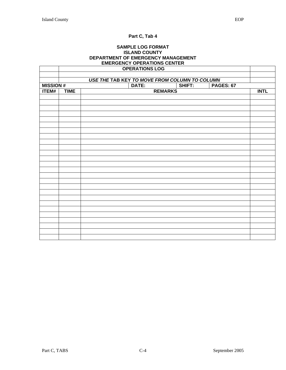$\Gamma$ 

# **Part C, Tab 4**

#### **SAMPLE LOG FORMAT ISLAND COUNTY DEPARTMENT OF EMERGENCY MANAGEMENT EMERGENCY OPERATIONS CENTER OPERATIONS LOG**

|                 |                                     | <b>OPERATIONS LOG</b>                         |                |  |             |
|-----------------|-------------------------------------|-----------------------------------------------|----------------|--|-------------|
|                 |                                     |                                               |                |  |             |
|                 |                                     | USE THE TAB KEY TO MOVE FROM COLUMN TO COLUMN |                |  |             |
| <b>MISSION#</b> | SHIFT:<br>DATE:<br><b>PAGES: 67</b> |                                               |                |  |             |
| <b>ITEM#</b>    | <b>TIME</b>                         |                                               | <b>REMARKS</b> |  | <b>INTL</b> |
|                 |                                     |                                               |                |  |             |
|                 |                                     |                                               |                |  |             |
|                 |                                     |                                               |                |  |             |
|                 |                                     |                                               |                |  |             |
|                 |                                     |                                               |                |  |             |
|                 |                                     |                                               |                |  |             |
|                 |                                     |                                               |                |  |             |
|                 |                                     |                                               |                |  |             |
|                 |                                     |                                               |                |  |             |
|                 |                                     |                                               |                |  |             |
|                 |                                     |                                               |                |  |             |
|                 |                                     |                                               |                |  |             |
|                 |                                     |                                               |                |  |             |
|                 |                                     |                                               |                |  |             |
|                 |                                     |                                               |                |  |             |
|                 |                                     |                                               |                |  |             |
|                 |                                     |                                               |                |  |             |
|                 |                                     |                                               |                |  |             |
|                 |                                     |                                               |                |  |             |
|                 |                                     |                                               |                |  |             |
|                 |                                     |                                               |                |  |             |
|                 |                                     |                                               |                |  |             |
|                 |                                     |                                               |                |  |             |
|                 |                                     |                                               |                |  |             |
|                 |                                     |                                               |                |  |             |
|                 |                                     |                                               |                |  |             |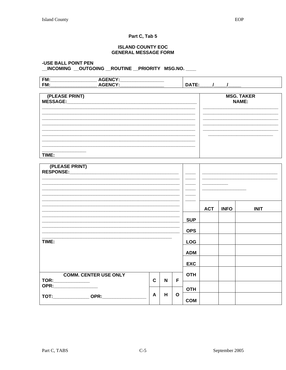#### **ISLAND COUNTY EOC GENERAL MESSAGE FORM**

### -USE BALL POINT PEN \_INCOMING \_OUTGOING \_ROUTINE \_PRIORITY MSG.NO. \_\_\_

| <b>FM</b><br>$\sim$ $\sim$ $\sim$ | ------                      |         |
|-----------------------------------|-----------------------------|---------|
| FM.                               | ______<br>______<br>_______ | _______ |

| (PLEASE PRINT)<br>MESSAGE: | <b>MSG. TAKER</b><br><b>NAME:</b> |
|----------------------------|-----------------------------------|
|                            |                                   |
|                            |                                   |
| TIME:                      |                                   |

| (PLEASE PRINT)                                     |              |             |              |            |            |             |             |
|----------------------------------------------------|--------------|-------------|--------------|------------|------------|-------------|-------------|
|                                                    |              |             |              |            | <b>ACT</b> | <b>INFO</b> | <b>INIT</b> |
|                                                    |              |             |              | <b>SUP</b> |            |             |             |
|                                                    |              |             |              | <b>OPS</b> |            |             |             |
| TIME:                                              |              |             |              | <b>LOG</b> |            |             |             |
|                                                    |              |             |              | <b>ADM</b> |            |             |             |
|                                                    |              |             |              | <b>EXC</b> |            |             |             |
| <b>COMM. CENTER USE ONLY</b><br>TOR:______________ | $\mathbf{C}$ | $\mathbf N$ | F            | <b>OTH</b> |            |             |             |
|                                                    |              |             |              | <b>OTH</b> |            |             |             |
| TOT:_________________OPR:___________               | A            | H           | $\mathbf{o}$ | <b>COM</b> |            |             |             |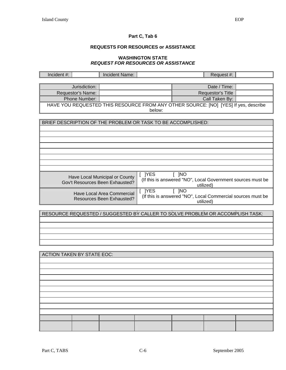# **REQUESTS FOR RESOURCES or ASSISTANCE**

#### **WASHINGTON STATE**  *REQUEST FOR RESOURCES OR ASSISTANCE*

| Incident #:                       |                   | <b>Incident Name:</b>                                                               |          |                      | Request #:        |                                                             |  |
|-----------------------------------|-------------------|-------------------------------------------------------------------------------------|----------|----------------------|-------------------|-------------------------------------------------------------|--|
|                                   |                   |                                                                                     |          |                      |                   |                                                             |  |
|                                   | Jurisdiction:     |                                                                                     |          |                      | Date / Time:      |                                                             |  |
|                                   | Requestor's Name: |                                                                                     |          |                      | Requestor's Title |                                                             |  |
|                                   | Phone Number:     |                                                                                     |          |                      | Call Taken By:    |                                                             |  |
|                                   |                   | HAVE YOU REQUESTED THIS RESOURCE FROM ANY OTHER SOURCE: [NO] [YES] If yes, describe |          |                      |                   |                                                             |  |
| below:                            |                   |                                                                                     |          |                      |                   |                                                             |  |
|                                   |                   |                                                                                     |          |                      |                   |                                                             |  |
|                                   |                   | BRIEF DESCRIPTION OF THE PROBLEM OR TASK TO BE ACCOMPLISHED:                        |          |                      |                   |                                                             |  |
|                                   |                   |                                                                                     |          |                      |                   |                                                             |  |
|                                   |                   |                                                                                     |          |                      |                   |                                                             |  |
|                                   |                   |                                                                                     |          |                      |                   |                                                             |  |
|                                   |                   |                                                                                     |          |                      |                   |                                                             |  |
|                                   |                   |                                                                                     |          |                      |                   |                                                             |  |
|                                   |                   |                                                                                     |          |                      |                   |                                                             |  |
|                                   |                   |                                                                                     |          |                      |                   |                                                             |  |
|                                   |                   | Have Local Municipal or County                                                      | $[$ TYES | $\lceil$ $\lceil$ NO |                   |                                                             |  |
|                                   |                   | Gov't Resources Been Exhausted?                                                     |          |                      |                   | (If this is answered "NO", Local Government sources must be |  |
|                                   |                   |                                                                                     |          |                      | utilized)         |                                                             |  |
|                                   |                   | Have Local Area Commercial                                                          | $[$ ]YES | $\lceil$ $\lceil$ NO |                   | (If this is answered "NO", Local Commercial sources must be |  |
|                                   |                   | Resources Been Exhausted?                                                           |          |                      | utilized)         |                                                             |  |
|                                   |                   |                                                                                     |          |                      |                   |                                                             |  |
|                                   |                   | RESOURCE REQUESTED / SUGGESTED BY CALLER TO SOLVE PROBLEM OR ACCOMPLISH TASK:       |          |                      |                   |                                                             |  |
|                                   |                   |                                                                                     |          |                      |                   |                                                             |  |
|                                   |                   |                                                                                     |          |                      |                   |                                                             |  |
|                                   |                   |                                                                                     |          |                      |                   |                                                             |  |
|                                   |                   |                                                                                     |          |                      |                   |                                                             |  |
|                                   |                   |                                                                                     |          |                      |                   |                                                             |  |
|                                   |                   |                                                                                     |          |                      |                   |                                                             |  |
| <b>ACTION TAKEN BY STATE EOC:</b> |                   |                                                                                     |          |                      |                   |                                                             |  |
|                                   |                   |                                                                                     |          |                      |                   |                                                             |  |
|                                   |                   |                                                                                     |          |                      |                   |                                                             |  |
|                                   |                   |                                                                                     |          |                      |                   |                                                             |  |
|                                   |                   |                                                                                     |          |                      |                   |                                                             |  |
|                                   |                   |                                                                                     |          |                      |                   |                                                             |  |
|                                   |                   |                                                                                     |          |                      |                   |                                                             |  |
|                                   |                   |                                                                                     |          |                      |                   |                                                             |  |
|                                   |                   |                                                                                     |          |                      |                   |                                                             |  |
|                                   |                   |                                                                                     |          |                      |                   |                                                             |  |
|                                   |                   |                                                                                     |          |                      |                   |                                                             |  |
|                                   |                   |                                                                                     |          |                      |                   |                                                             |  |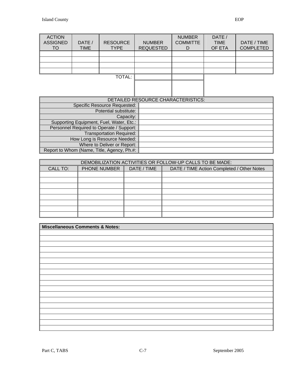| <b>ACTION</b><br><b>ASSIGNED</b><br>TO | DATE /<br><b>TIME</b> | <b>RESOURCE</b><br><b>TYPE</b> | <b>NUMBER</b><br><b>REQUESTED</b> | <b>NUMBER</b><br><b>COMMITTE</b><br>D | DATE /<br><b>TIME</b><br>OF ETA | DATE / TIME<br><b>COMPLETED</b> |
|----------------------------------------|-----------------------|--------------------------------|-----------------------------------|---------------------------------------|---------------------------------|---------------------------------|
|                                        |                       |                                |                                   |                                       |                                 |                                 |
|                                        |                       |                                |                                   |                                       |                                 |                                 |
|                                        |                       |                                |                                   |                                       |                                 |                                 |
|                                        |                       |                                |                                   |                                       |                                 |                                 |
|                                        |                       | <b>TOTAL:</b>                  |                                   |                                       |                                 |                                 |
|                                        |                       |                                |                                   |                                       |                                 |                                 |
|                                        |                       |                                |                                   |                                       |                                 |                                 |
|                                        |                       |                                |                                   |                                       |                                 |                                 |
| DETAILED RESOURCE CHARACTERISTICS:     |                       |                                |                                   |                                       |                                 |                                 |

|                                            | DETAILED RESOURCE CHARACTERISTICS: |
|--------------------------------------------|------------------------------------|
| <b>Specific Resource Requested:</b>        |                                    |
| Potential substitute:                      |                                    |
| Capacity:                                  |                                    |
| Supporting Equipment, Fuel, Water, Etc.:   |                                    |
| Personnel Required to Operate / Support:   |                                    |
| <b>Transportation Required:</b>            |                                    |
| How Long is Resource Needed:               |                                    |
| Where to Deliver or Report:                |                                    |
| Report to Whom (Name, Title, Agency, Ph.#: |                                    |

| DEMOBILIZATION ACTIVITIES OR FOLLOW-UP CALLS TO BE MADE: |                     |             |                                            |  |  |  |
|----------------------------------------------------------|---------------------|-------------|--------------------------------------------|--|--|--|
| <b>CALL TO:</b>                                          | <b>PHONE NUMBER</b> | DATE / TIME | DATE / TIME Action Completed / Other Notes |  |  |  |
|                                                          |                     |             |                                            |  |  |  |
|                                                          |                     |             |                                            |  |  |  |
|                                                          |                     |             |                                            |  |  |  |
|                                                          |                     |             |                                            |  |  |  |
|                                                          |                     |             |                                            |  |  |  |
|                                                          |                     |             |                                            |  |  |  |
|                                                          |                     |             |                                            |  |  |  |
|                                                          |                     |             |                                            |  |  |  |

| Miscellaneous Comments & Notes: |
|---------------------------------|
|                                 |
|                                 |
|                                 |
|                                 |
|                                 |
|                                 |
|                                 |
|                                 |
|                                 |
|                                 |
|                                 |
|                                 |
|                                 |
|                                 |
|                                 |
|                                 |
|                                 |
|                                 |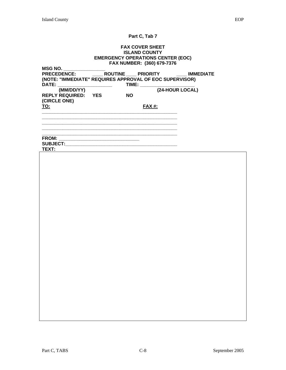#### **FAX COVER SHEET ISLAND COUNTY EMERGENCY OPERATIONS CENTER (EOC) FAX NUMBER: (360) 679-7376**

| MSG NO.                                                 |                         |                 |                  |
|---------------------------------------------------------|-------------------------|-----------------|------------------|
| <b>PRECEDENCE:</b>                                      | ROUTINE PRIORITY        |                 | <b>IMMEDIATE</b> |
| (NOTE: "IMMEDIATE" REQUIRES APPROVAL OF EOC SUPERVISOR) |                         |                 |                  |
| DATE:                                                   | TIME:                   |                 |                  |
| (MM/DD/YY)                                              |                         | (24-HOUR LOCAL) |                  |
| <b>REPLY REQUIRED:</b>                                  | <b>YES</b><br><b>NO</b> |                 |                  |
| (CIRCLE ONE)                                            |                         |                 |                  |
| <u>TO:</u>                                              |                         | <b>FAX #:</b>   |                  |
|                                                         |                         |                 |                  |
|                                                         |                         |                 |                  |
|                                                         |                         |                 |                  |
|                                                         |                         |                 |                  |

**\_\_\_\_\_\_\_\_\_\_\_\_\_\_\_\_\_\_\_\_\_\_\_\_\_\_\_\_\_\_\_\_\_\_\_\_\_\_\_\_\_\_\_\_\_\_\_\_\_\_\_\_** 

**FROM: \_\_\_\_\_\_\_\_\_\_\_\_\_\_\_\_\_\_\_\_\_\_\_\_\_\_\_\_\_\_\_** 

**SUBJECT:\_\_\_\_\_\_\_\_\_\_\_\_\_\_\_\_\_\_\_\_\_\_\_\_\_\_\_\_\_\_\_\_\_\_\_\_\_\_\_\_\_\_\_ TEXT:**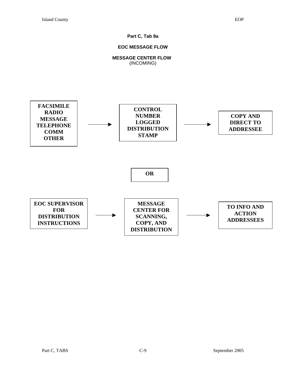# **Part C, Tab 8a**

### **EOC MESSAGE FLOW**

# **MESSAGE CENTER FLOW**  (INCOMING)

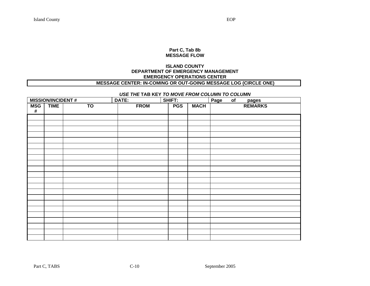#### **Part C, Tab 8b MESSAGE FLOW**

### **ISLAND COUNTY DEPARTMENT OF EMERGENCY MANAGEMENT EMERGENCY OPERATIONS CENTER**

# **MESSAGE CENTER: IN-COMING OR OUT-GOING MESSAGE LOG (CIRCLE ONE)**

# *USE THE* **TAB KEY** *TO MOVE FROM COLUMN TO COLUMN*

|                    | <b>MISSION/INCIDENT#</b> |           | DATE:       | SHIFT:     |             | Page<br>of |                  |
|--------------------|--------------------------|-----------|-------------|------------|-------------|------------|------------------|
| <b>MSG</b><br>$\#$ | <b>TIME</b>              | <b>TO</b> | <b>FROM</b> | <b>PGS</b> | <b>MACH</b> |            | pages<br>REMARKS |
|                    |                          |           |             |            |             |            |                  |
|                    |                          |           |             |            |             |            |                  |
|                    |                          |           |             |            |             |            |                  |
|                    |                          |           |             |            |             |            |                  |
|                    |                          |           |             |            |             |            |                  |
|                    |                          |           |             |            |             |            |                  |
|                    |                          |           |             |            |             |            |                  |
|                    |                          |           |             |            |             |            |                  |
|                    |                          |           |             |            |             |            |                  |
|                    |                          |           |             |            |             |            |                  |
|                    |                          |           |             |            |             |            |                  |
|                    |                          |           |             |            |             |            |                  |
|                    |                          |           |             |            |             |            |                  |
|                    |                          |           |             |            |             |            |                  |
|                    |                          |           |             |            |             |            |                  |
|                    |                          |           |             |            |             |            |                  |
|                    |                          |           |             |            |             |            |                  |
|                    |                          |           |             |            |             |            |                  |
|                    |                          |           |             |            |             |            |                  |
|                    |                          |           |             |            |             |            |                  |
|                    |                          |           |             |            |             |            |                  |
|                    |                          |           |             |            |             |            |                  |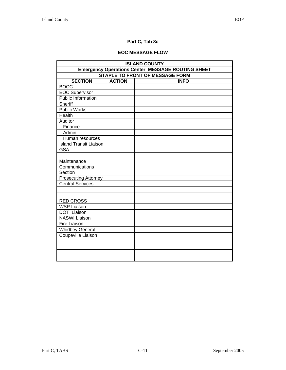# **Part C, Tab 8c**

# **EOC MESSAGE FLOW**

| <b>ISLAND COUNTY</b>                                     |               |             |  |  |  |  |  |
|----------------------------------------------------------|---------------|-------------|--|--|--|--|--|
| <b>Emergency Operations Center MESSAGE ROUTING SHEET</b> |               |             |  |  |  |  |  |
| <b>STAPLE TO FRONT OF MESSAGE FORM</b>                   |               |             |  |  |  |  |  |
| <b>SECTION</b>                                           | <b>ACTION</b> | <b>INFO</b> |  |  |  |  |  |
| <b>BOCC</b>                                              |               |             |  |  |  |  |  |
| <b>EOC Supervisor</b>                                    |               |             |  |  |  |  |  |
| <b>Public Information</b>                                |               |             |  |  |  |  |  |
| Sheriff                                                  |               |             |  |  |  |  |  |
| <b>Public Works</b>                                      |               |             |  |  |  |  |  |
| Health                                                   |               |             |  |  |  |  |  |
| Auditor                                                  |               |             |  |  |  |  |  |
| Finance                                                  |               |             |  |  |  |  |  |
| Admin                                                    |               |             |  |  |  |  |  |
| Human resources                                          |               |             |  |  |  |  |  |
| <b>Island Transit Liaison</b>                            |               |             |  |  |  |  |  |
| <b>GSA</b>                                               |               |             |  |  |  |  |  |
|                                                          |               |             |  |  |  |  |  |
| Maintenance                                              |               |             |  |  |  |  |  |
| Communications                                           |               |             |  |  |  |  |  |
| Section                                                  |               |             |  |  |  |  |  |
| <b>Prosecuting Attorney</b>                              |               |             |  |  |  |  |  |
| <b>Central Services</b>                                  |               |             |  |  |  |  |  |
|                                                          |               |             |  |  |  |  |  |
|                                                          |               |             |  |  |  |  |  |
| <b>RED CROSS</b>                                         |               |             |  |  |  |  |  |
| <b>WSP Liaison</b>                                       |               |             |  |  |  |  |  |
| <b>DOT</b> Liaison                                       |               |             |  |  |  |  |  |
| <b>NASWI Liaison</b>                                     |               |             |  |  |  |  |  |
| Fire Liaison                                             |               |             |  |  |  |  |  |
| <b>Whidbey General</b>                                   |               |             |  |  |  |  |  |
| Coupeville Liaison                                       |               |             |  |  |  |  |  |
|                                                          |               |             |  |  |  |  |  |
|                                                          |               |             |  |  |  |  |  |
|                                                          |               |             |  |  |  |  |  |
|                                                          |               |             |  |  |  |  |  |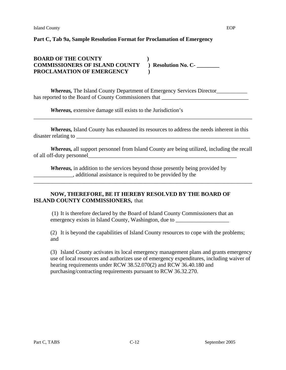# **Part C, Tab 9a, Sample Resolution Format for Proclamation of Emergency**

# **BOARD OF THE COUNTY** )<br> **COMMISSIONERS OF ISLAND COUNTY** ) Resolution No. C-**COMMISSIONERS OF ISLAND COUNTY PROCLAMATION OF EMERGENCY )**

*Whereas*, The Island County Department of Emergency Services Director\_\_\_\_\_\_\_\_\_\_\_ has reported to the Board of County Commissioners that \_\_\_\_\_\_\_\_\_\_\_\_\_\_\_\_\_\_\_\_\_\_\_\_\_

*Whereas,* extensive damage still exists to the Jurisdiction's

*Whereas,* Island County has exhausted its resources to address the needs inherent in this disaster relating to \_\_\_\_\_\_\_\_\_\_\_\_\_\_\_\_\_\_\_\_\_\_\_\_\_\_\_\_\_\_\_\_\_\_\_\_\_\_\_\_\_\_\_\_\_\_\_\_\_\_\_\_\_\_\_\_\_\_\_\_\_\_

\_\_\_\_\_\_\_\_\_\_\_\_\_\_\_\_\_\_\_\_\_\_\_\_\_\_\_\_\_\_\_\_\_\_\_\_\_\_\_\_\_\_\_\_\_\_\_\_\_\_\_\_\_\_\_\_\_\_\_\_\_\_\_\_\_\_\_\_\_\_\_\_\_\_\_\_\_\_

*Whereas,* all support personnel from Island County are being utilized, including the recall of all off-duty personnel\_\_\_\_\_\_\_\_\_\_\_\_\_\_\_\_\_\_\_\_\_\_\_\_\_\_\_\_\_\_\_\_\_\_\_\_\_\_\_\_\_\_\_\_\_\_\_\_\_\_\_\_\_

\_\_\_\_\_\_\_\_\_\_\_\_\_\_\_\_\_\_\_\_\_\_\_\_\_\_\_\_\_\_\_\_\_\_\_\_\_\_\_\_\_\_\_\_\_\_\_\_\_\_\_\_\_\_\_\_\_\_\_\_\_\_\_\_\_\_\_\_\_\_\_\_\_\_\_\_\_\_

*Whereas,* in addition to the services beyond those presently being provided by \_\_\_\_\_\_\_\_\_\_\_\_\_\_, additional assistance is required to be provided by the

# **NOW, THEREFORE, BE IT HEREBY RESOLVED BY THE BOARD OF ISLAND COUNTY COMMISSIONERS,** that

 (1) It is therefore declared by the Board of Island County Commissioners that an emergency exists in Island County, Washington, due to \_\_\_\_\_\_\_\_\_\_\_\_\_\_\_\_\_\_\_\_\_\_\_\_\_\_

(2) It is beyond the capabilities of Island County resources to cope with the problems; and

(3) Island County activates its local emergency management plans and grants emergency use of local resources and authorizes use of emergency expenditures, including waiver of hearing requirements under RCW 38.52.070(2) and RCW 36.40.180 and purchasing/contracting requirements pursuant to RCW 36.32.270.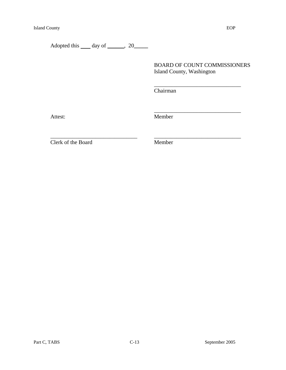# BOARD OF COUNT COMMISSIONERS Island County, Washington

Chairman

 $\frac{1}{\sqrt{2}}$  ,  $\frac{1}{\sqrt{2}}$  ,  $\frac{1}{\sqrt{2}}$  ,  $\frac{1}{\sqrt{2}}$  ,  $\frac{1}{\sqrt{2}}$  ,  $\frac{1}{\sqrt{2}}$  ,  $\frac{1}{\sqrt{2}}$  ,  $\frac{1}{\sqrt{2}}$  ,  $\frac{1}{\sqrt{2}}$  ,  $\frac{1}{\sqrt{2}}$  ,  $\frac{1}{\sqrt{2}}$  ,  $\frac{1}{\sqrt{2}}$  ,  $\frac{1}{\sqrt{2}}$  ,  $\frac{1}{\sqrt{2}}$  ,  $\frac{1}{\sqrt{2}}$ 

 $\overline{\phantom{a}}$  , which is a set of the set of the set of the set of the set of the set of the set of the set of the set of the set of the set of the set of the set of the set of the set of the set of the set of the set of th

\_\_\_\_\_\_\_\_\_\_\_\_\_\_\_\_\_\_\_\_\_\_\_\_\_\_\_\_\_\_\_ \_\_\_\_\_\_\_\_\_\_\_\_\_\_\_\_\_\_\_\_\_\_\_\_\_\_\_\_\_\_\_

Attest: Member

Clerk of the Board Member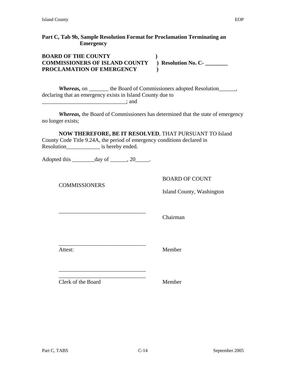# **Part C, Tab 9b, Sample Resolution Format for Proclamation Terminating an Emergency**

| <b>BOARD OF THE COUNTY</b>            |                     |
|---------------------------------------|---------------------|
| <b>COMMISSIONERS OF ISLAND COUNTY</b> | ) Resolution No. C- |
| PROCLAMATION OF EMERGENCY             |                     |

*Whereas,* on \_\_\_\_\_\_\_ the Board of Commissioners adopted Resolution\_\_\_\_\_\_, declaring that an emergency exists in Island County due to \_\_\_\_\_\_\_\_\_\_\_\_\_\_\_\_\_\_\_\_\_\_\_\_\_\_\_\_\_\_; and

*Whereas,* the Board of Commissioners has determined that the state of emergency no longer exists;

**NOW THEREFORE, BE IT RESOLVED**, THAT PURSUANT TO Island County Code Title 9.24A, the period of emergency conditions declared in Resolution\_\_\_\_\_\_\_\_\_\_\_\_\_\_\_\_\_\_ is hereby ended.

Adopted this  $\qquad \qquad \text{day of } \qquad .20 \qquad .$ 

\_\_\_\_\_\_\_\_\_\_\_\_\_\_\_\_\_\_\_\_\_\_\_\_\_\_\_\_\_\_\_

\_\_\_\_\_\_\_\_\_\_\_\_\_\_\_\_\_\_\_\_\_\_\_\_\_\_\_\_\_\_\_ \_\_\_\_\_\_\_\_\_\_\_\_\_\_\_\_\_\_\_\_\_\_\_\_\_\_\_\_\_\_\_

**COMMISSIONERS** 

BOARD OF COUNT

Island County, Washington

\_\_\_\_\_\_\_\_\_\_\_\_\_\_\_\_\_\_\_\_\_\_\_\_\_\_\_\_\_\_\_

Chairman

Attest: Member

Clerk of the Board Member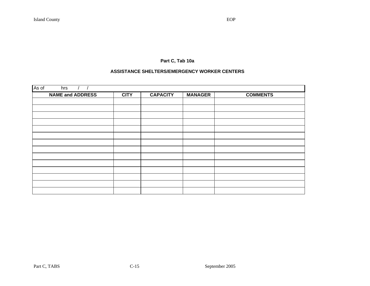# **Part C, Tab 10a**

#### **ASSISTANCE SHELTERS/EMERGENCY WORKER CENTERS**

| As of<br>hrs            |             |                 |                |                 |
|-------------------------|-------------|-----------------|----------------|-----------------|
| <b>NAME and ADDRESS</b> | <b>CITY</b> | <b>CAPACITY</b> | <b>MANAGER</b> | <b>COMMENTS</b> |
|                         |             |                 |                |                 |
|                         |             |                 |                |                 |
|                         |             |                 |                |                 |
|                         |             |                 |                |                 |
|                         |             |                 |                |                 |
|                         |             |                 |                |                 |
|                         |             |                 |                |                 |
|                         |             |                 |                |                 |
|                         |             |                 |                |                 |
|                         |             |                 |                |                 |
|                         |             |                 |                |                 |
|                         |             |                 |                |                 |
|                         |             |                 |                |                 |
|                         |             |                 |                |                 |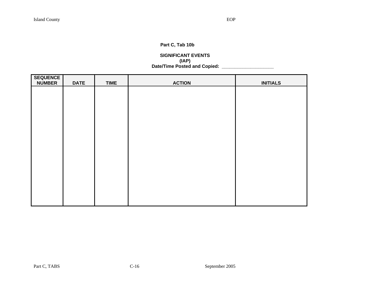# **Part C, Tab 10b**

#### **SIGNIFICANT EVENTS (IAP) Date/Time Posted and Copied: \_\_\_\_\_\_\_\_\_\_\_\_\_\_\_\_\_\_\_\_**

| <b>SEQUENCE</b><br><b>NUMBER</b> | <b>DATE</b> | <b>TIME</b> | <b>ACTION</b> | <b>INITIALS</b> |
|----------------------------------|-------------|-------------|---------------|-----------------|
|                                  |             |             |               |                 |
|                                  |             |             |               |                 |
|                                  |             |             |               |                 |
|                                  |             |             |               |                 |
|                                  |             |             |               |                 |
|                                  |             |             |               |                 |
|                                  |             |             |               |                 |
|                                  |             |             |               |                 |
|                                  |             |             |               |                 |
|                                  |             |             |               |                 |
|                                  |             |             |               |                 |
|                                  |             |             |               |                 |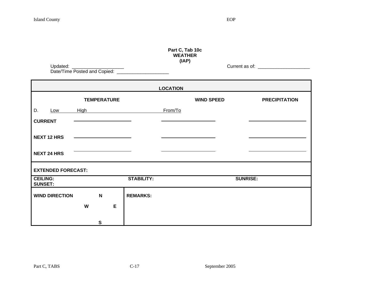| I<br>٠<br>v.<br>v |
|-------------------|
|-------------------|

Updated: \_\_\_\_\_\_\_\_\_\_\_\_\_\_\_\_\_\_\_\_ Current as of: \_\_\_\_\_\_\_\_\_\_\_\_\_\_\_\_\_\_\_\_

| Part C, Tab 10c |  |  |  |  |
|-----------------|--|--|--|--|
| WEATHER         |  |  |  |  |
| (IAP)           |  |  |  |  |

| Updated:                     |  |
|------------------------------|--|
| Date/Time Posted and Copied: |  |

|                                   |             |                    |   |                   | <b>LOCATION</b> |                   |                      |
|-----------------------------------|-------------|--------------------|---|-------------------|-----------------|-------------------|----------------------|
|                                   |             | <b>TEMPERATURE</b> |   |                   |                 | <b>WIND SPEED</b> | <b>PRECIPITATION</b> |
| D.<br>Low                         | <b>High</b> |                    |   |                   | From/To         |                   |                      |
| <b>CURRENT</b>                    |             |                    |   |                   |                 |                   |                      |
| <b>NEXT 12 HRS</b>                |             |                    |   |                   |                 |                   |                      |
| <b>NEXT 24 HRS</b>                |             |                    |   |                   |                 |                   |                      |
| <b>EXTENDED FORECAST:</b>         |             |                    |   |                   |                 |                   |                      |
| <b>CEILING:</b><br><b>SUNSET:</b> |             |                    |   | <b>STABILITY:</b> |                 |                   | <b>SUNRISE:</b>      |
| <b>WIND DIRECTION</b>             |             | $\mathbf N$        |   | <b>REMARKS:</b>   |                 |                   |                      |
|                                   | W           |                    | E |                   |                 |                   |                      |
|                                   |             | S                  |   |                   |                 |                   |                      |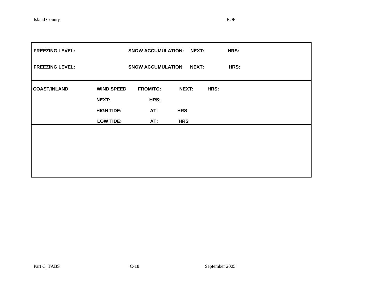| <b>FREEZING LEVEL:</b> |                   | SNOW ACCUMULATION: NEXT: |            |      | HRS: |
|------------------------|-------------------|--------------------------|------------|------|------|
| <b>FREEZING LEVEL:</b> |                   | <b>SNOW ACCUMULATION</b> | NEXT:      |      | HRS: |
| <b>COAST/INLAND</b>    | <b>WIND SPEED</b> | <b>FROM/TO:</b>          | NEXT:      | HRS: |      |
|                        | NEXT:             | HRS:                     |            |      |      |
|                        | <b>HIGH TIDE:</b> | AT:                      | <b>HRS</b> |      |      |
|                        | <b>LOW TIDE:</b>  | AT:                      | <b>HRS</b> |      |      |
|                        |                   |                          |            |      |      |
|                        |                   |                          |            |      |      |
|                        |                   |                          |            |      |      |
|                        |                   |                          |            |      |      |
|                        |                   |                          |            |      |      |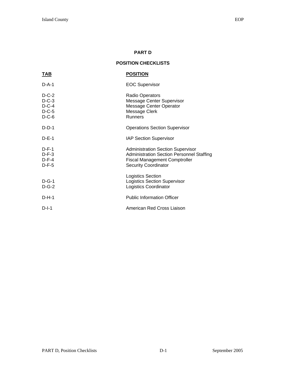# **PART D**

# **POSITION CHECKLISTS**

| <u>TAB</u>                                          | <b>POSITION</b>                                                                                                                                                     |
|-----------------------------------------------------|---------------------------------------------------------------------------------------------------------------------------------------------------------------------|
| $D-A-1$                                             | <b>EOC Supervisor</b>                                                                                                                                               |
| $D-C-2$<br>$D-C-3$<br>$D-C-4$<br>$D-C-5$<br>$D-C-6$ | Radio Operators<br>Message Center Supervisor<br>Message Center Operator<br>Message Clerk<br><b>Runners</b>                                                          |
| $D-D-1$                                             | <b>Operations Section Supervisor</b>                                                                                                                                |
| $D-E-1$                                             | <b>IAP Section Supervisor</b>                                                                                                                                       |
| $D-F-1$<br>$D-F-3$<br>$D-F-4$<br>$D-F-5$            | <b>Administration Section Supervisor</b><br><b>Administration Section Personnel Staffing</b><br><b>Fiscal Management Comptroller</b><br><b>Security Coordinator</b> |
| $D-G-1$<br>$D-G-2$                                  | <b>Logistics Section</b><br><b>Logistics Section Supervisor</b><br><b>Logistics Coordinator</b>                                                                     |
| $D-H-1$                                             | <b>Public Information Officer</b>                                                                                                                                   |
| $D-I-1$                                             | American Red Cross Liaison                                                                                                                                          |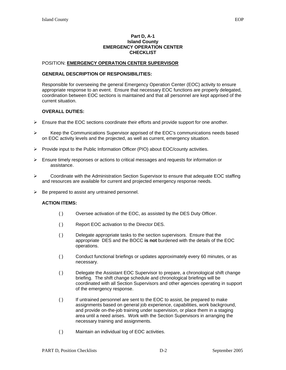#### **Part D, A-1 Island County EMERGENCY OPERATION CENTER CHECKLIST**

#### POSITION: **EMERGENCY OPERATION CENTER SUPERVISOR**

#### **GENERAL DESCRIPTION OF RESPONSIBILITIES:**

Responsible for overseeing the general Emergency Operation Center (EOC) activity to ensure appropriate response to an event. Ensure that necessary EOC functions are properly delegated, coordination between EOC sections is maintained and that all personnel are kept apprised of the current situation.

#### **OVERALL DUTIES:**

- $\triangleright$  Ensure that the EOC sections coordinate their efforts and provide support for one another.
- ¾ Keep the Communications Supervisor apprised of the EOC's communications needs based on EOC activity levels and the projected, as well as current, emergency situation.
- $\triangleright$  Provide input to the Public Information Officer (PIO) about EOC/county activities.
- $\triangleright$  Ensure timely responses or actions to critical messages and requests for information or assistance.
- $\triangleright$  Coordinate with the Administration Section Supervisor to ensure that adequate EOC staffing and resources are available for current and projected emergency response needs.
- $\triangleright$  Be prepared to assist any untrained personnel.

- ( ) Oversee activation of the EOC, as assisted by the DES Duty Officer.
- ( ) Report EOC activation to the Director DES.
- ( ) Delegate appropriate tasks to the section supervisors. Ensure that the appropriate DES and the BOCC **is not** burdened with the details of the EOC operations.
- ( ) Conduct functional briefings or updates approximately every 60 minutes, or as necessary.
- ( ) Delegate the Assistant EOC Supervisor to prepare, a chronological shift change briefing. The shift change schedule and chronological briefings will be coordinated with all Section Supervisors and other agencies operating in support of the emergency response.
- ( ) If untrained personnel are sent to the EOC to assist, be prepared to make assignments based on general job experience, capabilities, work background, and provide on-the-job training under supervision, or place them in a staging area until a need arises. Work with the Section Supervisors in arranging the necessary training and assignments.
- ( ) Maintain an individual log of EOC activities.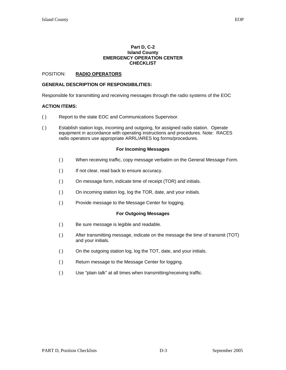#### **Part D, C-2 Island County EMERGENCY OPERATION CENTER CHECKLIST**

#### POSITION: **RADIO OPERATORS**

#### **GENERAL DESCRIPTION OF RESPONSIBILITIES:**

Responsible for transmitting and receiving messages through the radio systems of the EOC

#### **ACTION ITEMS:**

- ( ) Report to the state EOC and Communications Supervisor.
- ( ) Establish station logs, incoming and outgoing, for assigned radio station. Operate equipment in accordance with operating instructions and procedures. Note: RACES radio operators use appropriate ARRL/ARES log forms/procedures.

#### **For Incoming Messages**

- ( ) When receiving traffic, copy message verbatim on the General Message Form.
- ( ) If not clear, read back to ensure accuracy.
- ( ) On message form, indicate time of receipt (TOR) and initials.
- ( ) On incoming station log, log the TOR, date, and your initials.
- ( ) Provide message to the Message Center for logging.

#### **For Outgoing Messages**

- ( ) Be sure message is legible and readable.
- ( ) After transmitting message, indicate on the message the time of transmit (TOT) and your initials.
- ( ) On the outgoing station log, log the TOT, date, and your initials.
- ( ) Return message to the Message Center for logging.
- ( ) Use "plain talk" at all times when transmitting/receiving traffic.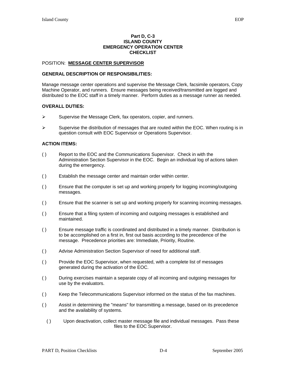#### **Part D, C-3 ISLAND COUNTY EMERGENCY OPERATION CENTER CHECKLIST**

#### POSITION: **MESSAGE CENTER SUPERVISOR**

#### **GENERAL DESCRIPTION OF RESPONSIBILITIES:**

Manage message center operations and supervise the Message Clerk, facsimile operators, Copy Machine Operator, and runners. Ensure messages being received/transmitted are logged and distributed to the EOC staff in a timely manner. Perform duties as a message runner as needed.

#### **OVERALL DUTIES:**

- $\triangleright$  Supervise the Message Clerk, fax operators, copier, and runners.
- $\triangleright$  Supervise the distribution of messages that are routed within the EOC. When routing is in question consult with EOC Supervisor or Operations Supervisor.

- ( ) Report to the EOC and the Communications Supervisor. Check in with the Administration Section Supervisor in the EOC. Begin an individual log of actions taken during the emergency.
- ( ) Establish the message center and maintain order within center.
- ( ) Ensure that the computer is set up and working properly for logging incoming/outgoing messages.
- ( ) Ensure that the scanner is set up and working properly for scanning incoming messages.
- ( ) Ensure that a filing system of incoming and outgoing messages is established and maintained.
- ( ) Ensure message traffic is coordinated and distributed in a timely manner. Distribution is to be accomplished on a first in, first out basis according to the precedence of the message. Precedence priorities are: Immediate, Priority, Routine.
- ( ) Advise Administration Section Supervisor of need for additional staff.
- ( ) Provide the EOC Supervisor, when requested, with a complete list of messages generated during the activation of the EOC.
- ( ) During exercises maintain a separate copy of all incoming and outgoing messages for use by the evaluators.
- ( ) Keep the Telecommunications Supervisor informed on the status of the fax machines.
- ( ) Assist in determining the "means" for transmitting a message, based on its precedence and the availability of systems.
	- ( ) Upon deactivation, collect master message file and individual messages. Pass these files to the EOC Supervisor.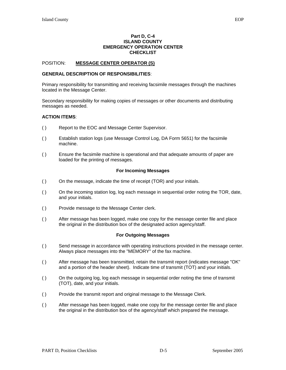#### **Part D, C-4 ISLAND COUNTY EMERGENCY OPERATION CENTER CHECKLIST**

#### POSITION: **MESSAGE CENTER OPERATOR (S)**

#### **GENERAL DESCRIPTION OF RESPONSIBILITIES**:

Primary responsibility for transmitting and receiving facsimile messages through the machines located in the Message Center.

Secondary responsibility for making copies of messages or other documents and distributing messages as needed.

#### **ACTION ITEMS**:

- ( ) Report to the EOC and Message Center Supervisor.
- ( ) Establish station logs (use Message Control Log, DA Form 5651) for the facsimile machine.
- ( ) Ensure the facsimile machine is operational and that adequate amounts of paper are loaded for the printing of messages.

#### **For Incoming Messages**

- ( ) On the message, indicate the time of receipt (TOR) and your initials.
- ( ) On the incoming station log, log each message in sequential order noting the TOR, date, and your initials.
- ( ) Provide message to the Message Center clerk.
- ( ) After message has been logged, make one copy for the message center file and place the original in the distribution box of the designated action agency/staff.

#### **For Outgoing Messages**

- ( ) Send message in accordance with operating instructions provided in the message center. Always place messages into the "MEMORY" of the fax machine.
- ( ) After message has been transmitted, retain the transmit report (indicates message "OK" and a portion of the header sheet). Indicate time of transmit (TOT) and your initials.
- ( ) On the outgoing log, log each message in sequential order noting the time of transmit (TOT), date, and your initials.
- ( ) Provide the transmit report and original message to the Message Clerk.
- ( ) After message has been logged, make one copy for the message center file and place the original in the distribution box of the agency/staff which prepared the message.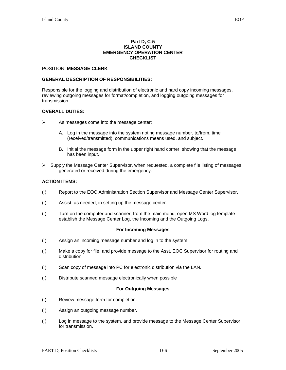#### **Part D, C-5 ISLAND COUNTY EMERGENCY OPERATION CENTER CHECKLIST**

#### POSITION: **MESSAGE CLERK**

#### **GENERAL DESCRIPTION OF RESPONSIBILITIES:**

Responsible for the logging and distribution of electronic and hard copy incoming messages, reviewing outgoing messages for format/completion, and logging outgoing messages for transmission.

#### **OVERALL DUTIES:**

- $\triangleright$  As messages come into the message center:
	- A. Log in the message into the system noting message number, to/from, time (received/transmitted), communications means used, and subject.
	- B. Initial the message form in the upper right hand corner, showing that the message has been input.
- $\triangleright$  Supply the Message Center Supervisor, when requested, a complete file listing of messages generated or received during the emergency.

#### **ACTION ITEMS:**

- ( ) Report to the EOC Administration Section Supervisor and Message Center Supervisor.
- ( ) Assist, as needed, in setting up the message center.
- ( ) Turn on the computer and scanner, from the main menu, open MS Word log template establish the Message Center Log, the Incoming and the Outgoing Logs.

#### **For Incoming Messages**

- ( ) Assign an incoming message number and log in to the system.
- ( ) Make a copy for file, and provide message to the Asst. EOC Supervisor for routing and distribution.
- ( ) Scan copy of message into PC for electronic distribution via the LAN.
- ( ) Distribute scanned message electronically when possible

#### **For Outgoing Messages**

- ( ) Review message form for completion.
- ( ) Assign an outgoing message number.
- ( ) Log in message to the system, and provide message to the Message Center Supervisor for transmission.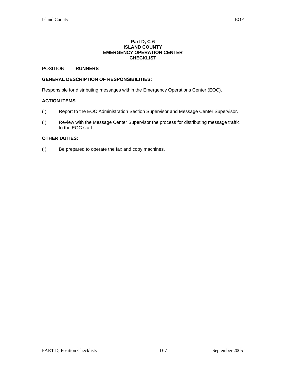#### **Part D, C-6 ISLAND COUNTY EMERGENCY OPERATION CENTER CHECKLIST**

#### POSITION: **RUNNERS**

#### **GENERAL DESCRIPTION OF RESPONSIBILITIES:**

Responsible for distributing messages within the Emergency Operations Center (EOC).

#### **ACTION ITEMS**:

- ( ) Report to the EOC Administration Section Supervisor and Message Center Supervisor.
- ( ) Review with the Message Center Supervisor the process for distributing message traffic to the EOC staff.

#### **OTHER DUTIES:**

( ) Be prepared to operate the fax and copy machines.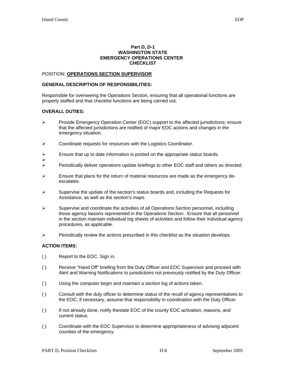#### **Part D, D-1 WASHINGTON STATE EMERGENCY OPERATIONS CENTER CHECKLIST**

#### POSITION: **OPERATIONS SECTION SUPERVISOR**

#### **GENERAL DESCRIPTION OF RESPONSIBILITIES:**

Responsible for overseeing the Operations Section, ensuring that all operational functions are properly staffed and that checklist functions are being carried out.

#### **OVERALL DUTIES:**

- ¾ Provide Emergency Operation Center (EOC) support to the affected jurisdictions; ensure that the affected jurisdictions are notified of major EOC actions and changes in the emergency situation.
- ¾ Coordinate requests for resources with the Logistics Coordinator.
- $\triangleright$  Ensure that up to date information is posted on the appropriate status boards.
- $\blacktriangleright$  $\triangleright$  Periodically deliver operations update briefings to other EOC staff and others as directed.
- $\triangleright$  Ensure that plans for the return of material resources are made as the emergency deescalates.
- $\triangleright$  Supervise the update of the section's status boards and, including the Requests for Assistance, as well as the section's maps.
- $\triangleright$  Supervise and coordinate the activities of all Operations Section personnel, including those agency liaisons represented in the Operations Section. Ensure that all personnel in the section maintain individual log sheets of activities and follow their individual agency procedures, as applicable.
- $\triangleright$  Periodically review the actions prescribed in this checklist as the situation develops.

- ( ) Report to the EOC. Sign in.
- ( ) Receive "Hand Off" briefing from the Duty Officer and EOC Supervisor and proceed with Alert and Warning Notifications to jurisdictions not previously notified by the Duty Officer.
- ( ) Using the computer begin and maintain a section log of actions taken.
- ( ) Consult with the duty officer to determine status of the recall of agency representatives to the EOC; if necessary, assume that responsibility in coordination with the Duty Officer.
- ( ) If not already done, notify thestate EOC of the county EOC activation, reasons, and current status.
- ( ) Coordinate with the EOC Supervisor to determine appropriateness of advising adjacent counties of the emergency.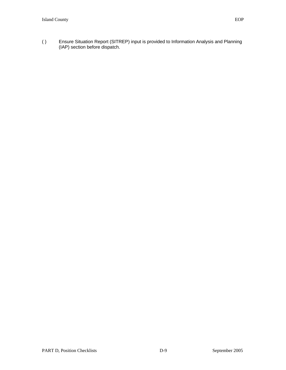( ) Ensure Situation Report (SITREP) input is provided to Information Analysis and Planning (IAP) section before dispatch.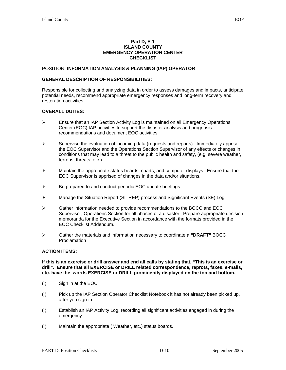#### **Part D, E-1 ISLAND COUNTY EMERGENCY OPERATION CENTER CHECKLIST**

#### POSITION: **INFORMATION ANALYSIS & PLANNING (IAP) OPERATOR**

#### **GENERAL DESCRIPTION OF RESPONSIBILITIES:**

Responsible for collecting and analyzing data in order to assess damages and impacts, anticipate potential needs, recommend appropriate emergency responses and long-term recovery and restoration activities.

#### **OVERALL DUTIES:**

- ¾ Ensure that an IAP Section Activity Log is maintained on all Emergency Operations Center (EOC) IAP activities to support the disaster analysis and prognosis recommendations and document EOC activities.
- $\triangleright$  Supervise the evaluation of incoming data (requests and reports). Immediately apprise the EOC Supervisor and the Operations Section Supervisor of any effects or changes in conditions that may lead to a threat to the public health and safety, (e.g. severe weather, terrorist threats, etc.).
- $\triangleright$  Maintain the appropriate status boards, charts, and computer displays. Ensure that the EOC Supervisor is apprised of changes in the data and/or situations.
- $\triangleright$  Be prepared to and conduct periodic EOC update briefings.
- ¾ Manage the Situation Report (SITREP) process and Significant Events (SE) Log.
- ¾ Gather information needed to provide recommendations to the BOCC and EOC Supervisor, Operations Section for all phases of a disaster. Prepare appropriate decision memoranda for the Executive Section in accordance with the formats provided in the EOC Checklist Addendum.
- ¾ Gather the materials and information necessary to coordinate a **"DRAFT"** BOCC Proclamation

#### **ACTION ITEMS:**

**If this is an exercise or drill answer and end all calls by stating that, "This is an exercise or drill". Ensure that all EXERCISE or DRILL related correspondence, reprots, faxes, e-mails, etc. have the words EXERCISE or DRILL prominently displayed on the top and bottom.** 

- ( ) Sign in at the EOC.
- ( ) Pick up the IAP Section Operator Checklist Notebook it has not already been picked up, after you sign-in.
- ( ) Establish an IAP Activity Log, recording all significant activities engaged in during the emergency.
- ( ) Maintain the appropriate ( Weather, etc.) status boards.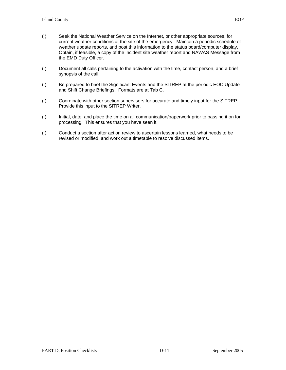- ( ) Seek the National Weather Service on the Internet, or other appropriate sources, for current weather conditions at the site of the emergency. Maintain a periodic schedule of weather update reports, and post this information to the status board/computer display. Obtain, if feasible, a copy of the incident site weather report and NAWAS Message from the EMD Duty Officer.
- ( ) Document all calls pertaining to the activation with the time, contact person, and a brief synopsis of the call.
- ( ) Be prepared to brief the Significant Events and the SITREP at the periodic EOC Update and Shift Change Briefings. Formats are at Tab C.
- ( ) Coordinate with other section supervisors for accurate and timely input for the SITREP. Provide this input to the SITREP Writer.
- ( ) Initial, date, and place the time on all communication/paperwork prior to passing it on for processing. This ensures that you have seen it.
- ( ) Conduct a section after action review to ascertain lessons learned, what needs to be revised or modified, and work out a timetable to resolve discussed items.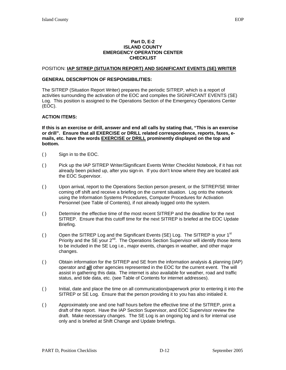#### **Part D, E-2 ISLAND COUNTY EMERGENCY OPERATION CENTER CHECKLIST**

#### POSITION: **IAP SITREP (SITUATION REPORT) AND SIGNIFICANT EVENTS (SE) WRITER**

#### **GENERAL DESCRIPTION OF RESPONSIBILITIES:**

The SITREP (Situation Report Writer) prepares the periodic SITREP, which is a report of activities surrounding the activation of the EOC and compiles the SIGNIFICANT EVENTS (SE) Log. This position is assigned to the Operations Section of the Emergency Operations Center (EOC).

#### **ACTION ITEMS:**

**If this is an exercise or drill, answer and end all calls by stating that, "This is an exercise or drill". Ensure that all EXERCISE or DRILL related correspondence, reports, faxes, emails, etc. have the words EXERCISE or DRILL prominently displayed on the top and bottom.** 

- ( ) Sign in to the EOC.
- ( ) Pick up the IAP SITREP Writer/Significant Events Writer Checklist Notebook, if it has not already been picked up, after you sign-in. If you don't know where they are located ask the EOC Supervisor.
- ( ) Upon arrival, report to the Operations Section person present, or the SITREP/SE Writer coming off shift and receive a briefing on the current situation. Log onto the network using the Information Systems Procedures, Computer Procedures for Activation Personnel (see Table of Contents), if not already logged onto the system.
- ( ) Determine the effective time of the most recent SITREP and the deadline for the next SITREP. Ensure that this cutoff time for the next SITREP is briefed at the EOC Update Briefing.
- () Open the SITREP Log and the Significant Events (SE) Log. The SITREP is your  $1<sup>st</sup>$ Priority and the SE your 2<sup>nd</sup>. The Operations Section Supervisor will identify those items to be included in the SE Log i.e., major events, changes in weather, and other major changes.
- ( ) Obtain information for the SITREP and SE from the information analysis & planning (IAP) operator and **all** other agencies represented in the EOC for the current event. The will assist in gathering this data. The internet is also available for weather, road and traffic status, and tide data, etc. (see Table of Contents for internet addresses).
- ( ) Initial, date and place the time on all communication/paperwork prior to entering it into the SITREP or SE Log. Ensure that the person providing it to you has also initialed it.
- ( ) Approximately one and one half hours before the effective time of the SITREP, print a draft of the report. Have the IAP Section Supervisor, and EOC Supervisor review the draft. Make necessary changes. The SE Log is an ongoing log and is for internal use only and is briefed at Shift Change and Update briefings.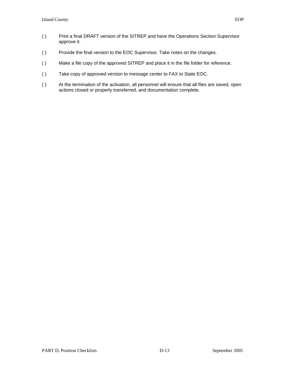- ( ) Print a final DRAFT version of the SITREP and have the Operations Section Supervisor approve it.
- ( ) Provide the final version to the EOC Supervisor. Take notes on the changes.
- ( ) Make a file copy of the approved SITREP and place it in the file folder for reference.
- ( ) Take copy of approved version to message center to FAX to State EOC.
- ( ) At the termination of the activation, all personnel will ensure that all files are saved, open actions closed or properly transferred, and documentation complete.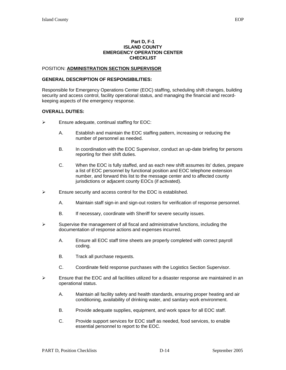#### **Part D, F-1 ISLAND COUNTY EMERGENCY OPERATION CENTER CHECKLIST**

#### POSITION: **ADMINISTRATION SECTION SUPERVISOR**

#### **GENERAL DESCRIPTION OF RESPONSIBILITIES:**

Responsible for Emergency Operations Center (EOC) staffing, scheduling shift changes, building security and access control, facility operational status, and managing the financial and recordkeeping aspects of the emergency response.

#### **OVERALL DUTIES:**

- $\triangleright$  Ensure adequate, continual staffing for EOC:
	- A. Establish and maintain the EOC staffing pattern, increasing or reducing the number of personnel as needed.
	- B. In coordination with the EOC Supervisor, conduct an up-date briefing for persons reporting for their shift duties.
	- C. When the EOC is fully staffed, and as each new shift assumes its' duties, prepare a list of EOC personnel by functional position and EOC telephone extension number, and forward this list to the message center and to affected county jurisdictions or adjacent county EOCs (if activated).
- $\triangleright$  Ensure security and access control for the EOC is established.
	- A. Maintain staff sign-in and sign-out rosters for verification of response personnel.
	- B. If necessary, coordinate with Sheriff for severe security issues.
- $\triangleright$  Supervise the management of all fiscal and administrative functions, including the documentation of response actions and expenses incurred.
	- A. Ensure all EOC staff time sheets are properly completed with correct payroll coding.
	- B. Track all purchase requests.
	- C. Coordinate field response purchases with the Logistics Section Supervisor.
- $\triangleright$  Ensure that the EOC and all facilities utilized for a disaster response are maintained in an operational status.
	- A. Maintain all facility safety and health standards, ensuring proper heating and air conditioning, availability of drinking water, and sanitary work environment.
	- B. Provide adequate supplies, equipment, and work space for all EOC staff.
	- C. Provide support services for EOC staff as needed, food services, to enable essential personnel to report to the EOC.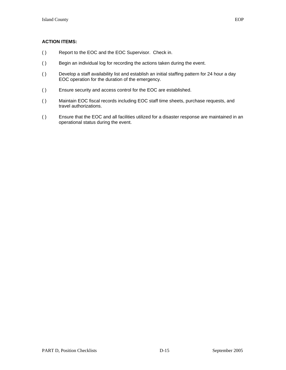- ( ) Report to the EOC and the EOC Supervisor. Check in.
- ( ) Begin an individual log for recording the actions taken during the event.
- ( ) Develop a staff availability list and establish an initial staffing pattern for 24 hour a day EOC operation for the duration of the emergency.
- ( ) Ensure security and access control for the EOC are established.
- ( ) Maintain EOC fiscal records including EOC staff time sheets, purchase requests, and travel authorizations.
- ( ) Ensure that the EOC and all facilities utilized for a disaster response are maintained in an operational status during the event.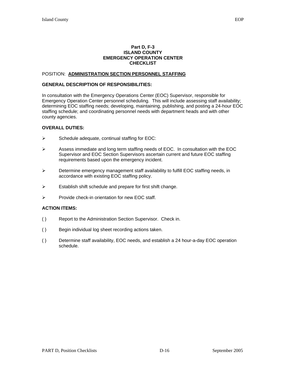#### **Part D, F-3 ISLAND COUNTY EMERGENCY OPERATION CENTER CHECKLIST**

#### POSITION: **ADMINISTRATION SECTION PERSONNEL STAFFING**

#### **GENERAL DESCRIPTION OF RESPONSIBILITIES:**

In consultation with the Emergency Operations Center (EOC) Supervisor, responsible for Emergency Operation Center personnel scheduling. This will include assessing staff availability; determining EOC staffing needs; developing, maintaining, publishing, and posting a 24-hour EOC staffing schedule; and coordinating personnel needs with department heads and with other county agencies.

#### **OVERALL DUTIES:**

- $\triangleright$  Schedule adequate, continual staffing for EOC:
- $\triangleright$  Assess immediate and long term staffing needs of EOC. In consultation with the EOC Supervisor and EOC Section Supervisors ascertain current and future EOC staffing requirements based upon the emergency incident.
- $\triangleright$  Determine emergency management staff availability to fulfill EOC staffing needs, in accordance with existing EOC staffing policy.
- $\triangleright$  Establish shift schedule and prepare for first shift change.
- ¾ Provide check-in orientation for new EOC staff.

- ( ) Report to the Administration Section Supervisor. Check in.
- ( ) Begin individual log sheet recording actions taken.
- ( ) Determine staff availability, EOC needs, and establish a 24 hour-a-day EOC operation schedule.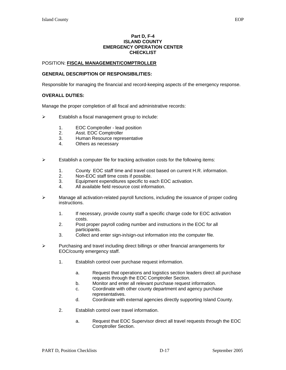#### **Part D, F-4 ISLAND COUNTY EMERGENCY OPERATION CENTER CHECKLIST**

#### POSITION: **FISCAL MANAGEMENT/COMPTROLLER**

#### **GENERAL DESCRIPTION OF RESPONSIBILITIES:**

Responsible for managing the financial and record-keeping aspects of the emergency response.

#### **OVERALL DUTIES:**

Manage the proper completion of all fiscal and administrative records:

- $\triangleright$  Establish a fiscal management group to include:
	- 1. EOC Comptroller lead position
	- 2. Asst. EOC Comptroller
	- 3. Human Resource representative
	- 4. Others as necessary
- $\triangleright$  Establish a computer file for tracking activation costs for the following items:
	- 1. County EOC staff time and travel cost based on current H.R. information.
	- 2. Non-EOC staff time costs if possible.
	- 3. Equipment expenditures specific to each EOC activation.
	- 4. All available field resource cost information.
- $\triangleright$  Manage all activation-related payroll functions, including the issuance of proper coding instructions.
	- 1. If necessary, provide county staff a specific charge code for EOC activation costs.
	- 2. Post proper payroll coding number and instructions in the EOC for all participants.
	- 3. Collect and enter sign-in/sign-out information into the computer file.
- ¾ Purchasing and travel including direct billings or other financial arrangements for EOC/county emergency staff.
	- 1. Establish control over purchase request information.
		- a. Request that operations and logistics section leaders direct all purchase requests through the EOC Comptroller Section.
		- b. Monitor and enter all relevant purchase request information.
		- c. Coordinate with other county department and agency purchase representatives.
		- d. Coordinate with external agencies directly supporting Island County.
	- 2. Establish control over travel information.
		- a. Request that EOC Supervisor direct all travel requests through the EOC Comptroller Section.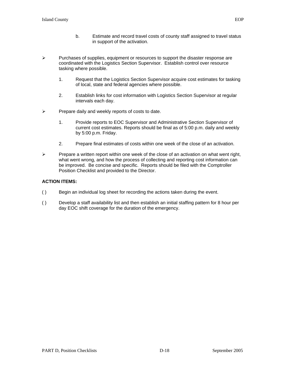- b. Estimate and record travel costs of county staff assigned to travel status in support of the activation.
- $\triangleright$  Purchases of supplies, equipment or resources to support the disaster response are coordinated with the Logistics Section Supervisor. Establish control over resource tasking where possible.
	- 1. Request that the Logistics Section Supervisor acquire cost estimates for tasking of local, state and federal agencies where possible.
	- 2. Establish links for cost information with Logistics Section Supervisor at regular intervals each day.
- $\triangleright$  Prepare daily and weekly reports of costs to date.
	- 1. Provide reports to EOC Supervisor and Administrative Section Supervisor of current cost estimates. Reports should be final as of 5:00 p.m. daily and weekly by 5:00 p.m. Friday.
	- 2. Prepare final estimates of costs within one week of the close of an activation.
- $\triangleright$  Prepare a written report within one week of the close of an activation on what went right, what went wrong, and how the process of collecting and reporting cost information can be improved. Be concise and specific. Reports should be filed with the Comptroller Position Checklist and provided to the Director.

- ( ) Begin an individual log sheet for recording the actions taken during the event.
- ( ) Develop a staff availability list and then establish an initial staffing pattern for 8 hour per day EOC shift coverage for the duration of the emergency.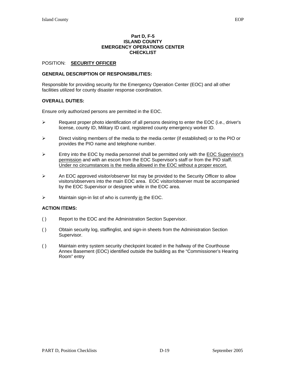#### **Part D, F-5 ISLAND COUNTY EMERGENCY OPERATIONS CENTER CHECKLIST**

#### POSITION: **SECURITY OFFICER**

#### **GENERAL DESCRIPTION OF RESPONSIBILITIES:**

Responsible for providing security for the Emergency Operation Center (EOC) and all other facilities utilized for county disaster response coordination.

#### **OVERALL DUTIES:**

Ensure only authorized persons are permitted in the EOC.

- $\triangleright$  Request proper photo identification of all persons desiring to enter the EOC (i.e., driver's license, county ID, Military ID card, registered county emergency worker ID.
- ¾ Direct visiting members of the media to the media center (if established) or to the PIO or provides the PIO name and telephone number.
- $\triangleright$  Entry into the EOC by media personnel shall be permitted only with the EOC Supervisor's permission and with an escort from the EOC Supervisor's staff or from the PIO staff. Under no circumstances is the media allowed in the EOC without a proper escort.
- $\triangleright$  An EOC approved visitor/observer list may be provided to the Security Officer to allow visitors/observers into the main EOC area. EOC visitor/observer must be accompanied by the EOC Supervisor or designee while in the EOC area.
- $\triangleright$  Maintain sign-in list of who is currently in the EOC.

- ( ) Report to the EOC and the Administration Section Supervisor.
- ( ) Obtain security log, staffinglist, and sign-in sheets from the Administration Section Supervisor.
- ( ) Maintain entry system security checkpoint located in the hallway of the Courthouse Annex Basement (EOC) identified outside the building as the "Commissioner's Hearing Room" entry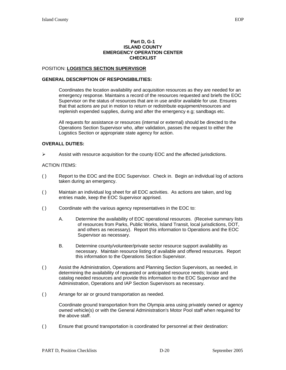#### **Part D, G-1 ISLAND COUNTY EMERGENCY OPERATION CENTER CHECKLIST**

#### POSITION: **LOGISTICS SECTION SUPERVISOR**

#### **GENERAL DESCRIPTION OF RESPONSIBILITIES:**

Coordinates the location availability and acquisition resources as they are needed for an emergency response. Maintains a record of the resources requested and briefs the EOC Supervisor on the status of resources that are in use and/or available for use. Ensures that that actions are put in motion to return or redistribute equipment/resources and replenish expended supplies, during and after the emergency e.g; sandbags etc.

 All requests for assistance or resources (internal or external) should be directed to the Operations Section Supervisor who, after validation, passes the request to either the Logistics Section or appropriate state agency for action.

#### **OVERALL DUTIES:**

 $\triangleright$  Assist with resource acquisition for the county EOC and the affected jurisdictions.

#### ACTION ITEMS:

- ( ) Report to the EOC and the EOC Supervisor. Check in. Begin an individual log of actions taken during an emergency.
- ( ) Maintain an individual log sheet for all EOC activities. As actions are taken, and log entries made, keep the EOC Supervisor apprised.
- ( ) Coordinate with the various agency representatives in the EOC to:
	- A. Determine the availability of EOC operational resources. (Receive summary lists of resources from Parks, Public Works, Island Transit, local jurisdictions, DOT, and others as necessary). Report this information to Operations and the EOC Supervisor as necessary.
	- B. Determine county/volunteer/private sector resource support availability as necessary. Maintain resource listing of available and offered resources. Report this information to the Operations Section Supervisor.
- ( ) Assist the Administration, Operations and Planning Section Supervisors, as needed, in determining the availability of requested or anticipated resource needs; locate and catalog needed resources and provide this information to the EOC Supervisor and the Administration, Operations and IAP Section Supervisors as necessary.
- ( ) Arrange for air or ground transportation as needed.

Coordinate ground transportation from the Olympia area using privately owned or agency owned vehicle(s) or with the General Administration's Motor Pool staff when required for the above staff.

( ) Ensure that ground transportation is coordinated for personnel at their destination: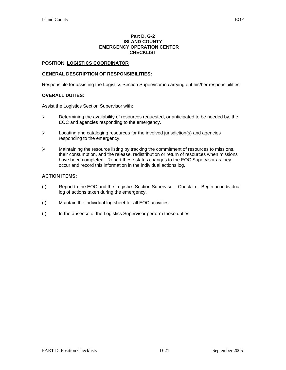#### **Part D, G-2 ISLAND COUNTY EMERGENCY OPERATION CENTER CHECKLIST**

#### POSITION: **LOGISTICS COORDINATOR**

#### **GENERAL DESCRIPTION OF RESPONSIBILITIES:**

Responsible for assisting the Logistics Section Supervisor in carrying out his/her responsibilities.

#### **OVERALL DUTIES:**

Assist the Logistics Section Supervisor with:

- $\triangleright$  Determining the availability of resources requested, or anticipated to be needed by, the EOC and agencies responding to the emergency.
- $\triangleright$  Locating and cataloging resources for the involved jurisdiction(s) and agencies responding to the emergency.
- $\triangleright$  Maintaining the resource listing by tracking the commitment of resources to missions, their consumption, and the release, redistribution or return of resources when missions have been completed. Report these status changes to the EOC Supervisor as they occur and record this information in the individual actions log.

- ( ) Report to the EOC and the Logistics Section Supervisor. Check in.. Begin an individual log of actions taken during the emergency.
- ( ) Maintain the individual log sheet for all EOC activities.
- ( ) In the absence of the Logistics Supervisor perform those duties.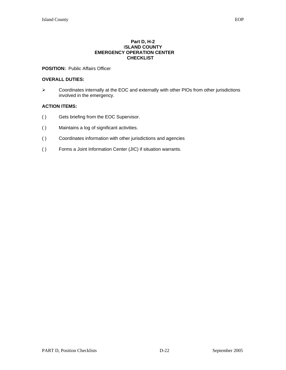#### **Part D, H-2**  I**SLAND COUNTY EMERGENCY OPERATION CENTER CHECKLIST**

#### **POSITION:** Public Affairs Officer

#### **OVERALL DUTIES:**

¾ Coordinates internally at the EOC and externally with other PIOs from other jurisdictions involved in the emergency.

- ( ) Gets briefing from the EOC Supervisor.
- ( ) Maintains a log of significant activities.
- ( ) Coordinates information with other jurisdictions and agencies
- ( ) Forms a Joint Information Center (JIC) if situation warrants.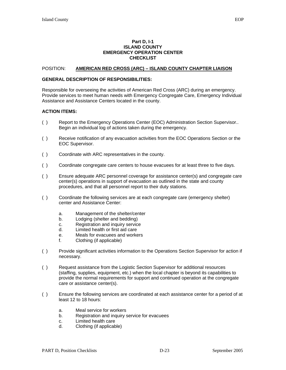#### **Part D, I-1 ISLAND COUNTY EMERGENCY OPERATION CENTER CHECKLIST**

#### POSITION: **AMERICAN RED CROSS (ARC) – ISLAND COUNTY CHAPTER LIAISON**

#### **GENERAL DESCRIPTION OF RESPONSIBILITIES:**

Responsible for overseeing the activities of American Red Cross (ARC) during an emergency. Provide services to meet human needs with Emergency Congregate Care, Emergency Individual Assistance and Assistance Centers located in the county.

- ( ) Report to the Emergency Operations Center (EOC) Administration Section Supervisor.. Begin an individual log of actions taken during the emergency.
- ( ) Receive notification of any evacuation activities from the EOC Operations Section or the EOC Supervisor.
- ( ) Coordinate with ARC representatives in the county.
- ( ) Coordinate congregate care centers to house evacuees for at least three to five days.
- ( ) Ensure adequate ARC personnel coverage for assistance center(s) and congregate care center(s) operations in support of evacuation as outlined in the state and county procedures, and that all personnel report to their duty stations.
- ( ) Coordinate the following services are at each congregate care (emergency shelter) center and Assistance Center:
	- a. Management of the shelter/center
	- b. Lodging (shelter and bedding)
	- c. Registration and inquiry service
	- d. Limited health or first aid care
	- e. Meals for evacuees and workers
	- f. Clothing (if applicable)
- ( ) Provide significant activities information to the Operations Section Supervisor for action if necessary.
- ( ) Request assistance from the Logistic Section Supervisor for additional resources (staffing, supplies, equipment, etc.) when the local chapter is beyond its capabilities to provide the normal requirements for support and continued operation at the congregate care or assistance center(s).
- ( ) Ensure the following services are coordinated at each assistance center for a period of at least 12 to 18 hours:
	- a. Meal service for workers
	- b. Registration and inquiry service for evacuees
	- c. Limited health care
	- d. Clothing (if applicable)